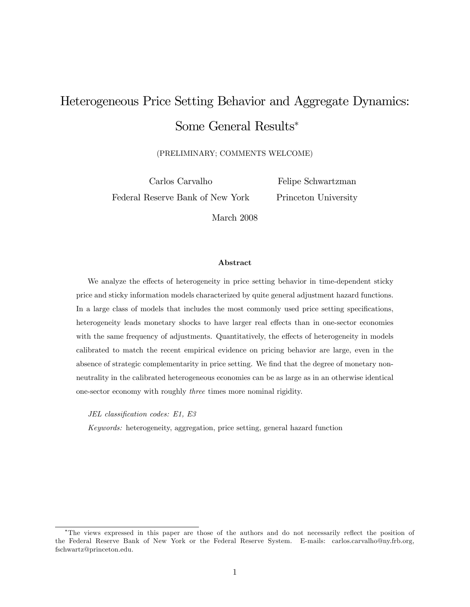# Heterogeneous Price Setting Behavior and Aggregate Dynamics: Some General Results

(PRELIMINARY; COMMENTS WELCOME)

Carlos Carvalho Federal Reserve Bank of New York

Felipe Schwartzman Princeton University

March 2008

#### Abstract

We analyze the effects of heterogeneity in price setting behavior in time-dependent sticky price and sticky information models characterized by quite general adjustment hazard functions. In a large class of models that includes the most commonly used price setting specifications, heterogeneity leads monetary shocks to have larger real effects than in one-sector economies with the same frequency of adjustments. Quantitatively, the effects of heterogeneity in models calibrated to match the recent empirical evidence on pricing behavior are large, even in the absence of strategic complementarity in price setting. We find that the degree of monetary nonneutrality in the calibrated heterogeneous economies can be as large as in an otherwise identical one-sector economy with roughly three times more nominal rigidity.

JEL classification codes: E1, E3

Keywords: heterogeneity, aggregation, price setting, general hazard function

<sup>&</sup>lt;sup>\*</sup>The views expressed in this paper are those of the authors and do not necessarily reflect the position of the Federal Reserve Bank of New York or the Federal Reserve System. E-mails: carlos.carvalho@ny.frb.org, fschwartz@princeton.edu.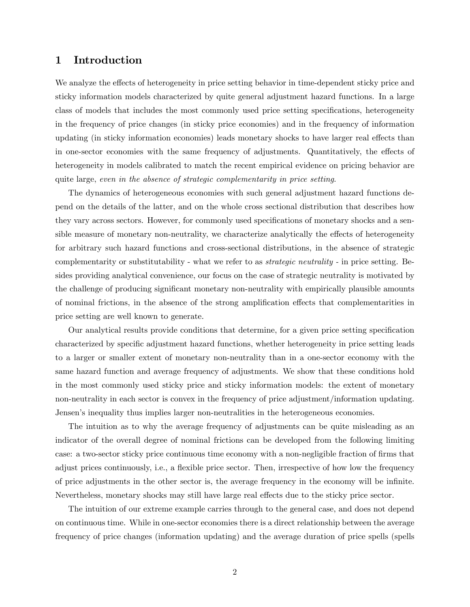### 1 Introduction

We analyze the effects of heterogeneity in price setting behavior in time-dependent sticky price and sticky information models characterized by quite general adjustment hazard functions. In a large class of models that includes the most commonly used price setting specifications, heterogeneity in the frequency of price changes (in sticky price economies) and in the frequency of information updating (in sticky information economies) leads monetary shocks to have larger real effects than in one-sector economies with the same frequency of adjustments. Quantitatively, the effects of heterogeneity in models calibrated to match the recent empirical evidence on pricing behavior are quite large, even in the absence of strategic complementarity in price setting.

The dynamics of heterogeneous economies with such general adjustment hazard functions depend on the details of the latter, and on the whole cross sectional distribution that describes how they vary across sectors. However, for commonly used specifications of monetary shocks and a sensible measure of monetary non-neutrality, we characterize analytically the effects of heterogeneity for arbitrary such hazard functions and cross-sectional distributions, in the absence of strategic complementarity or substitutability - what we refer to as strategic neutrality - in price setting. Besides providing analytical convenience, our focus on the case of strategic neutrality is motivated by the challenge of producing significant monetary non-neutrality with empirically plausible amounts of nominal frictions, in the absence of the strong amplification effects that complementarities in price setting are well known to generate.

Our analytical results provide conditions that determine, for a given price setting specification characterized by specific adjustment hazard functions, whether heterogeneity in price setting leads to a larger or smaller extent of monetary non-neutrality than in a one-sector economy with the same hazard function and average frequency of adjustments. We show that these conditions hold in the most commonly used sticky price and sticky information models: the extent of monetary non-neutrality in each sector is convex in the frequency of price adjustment/information updating. Jensen's inequality thus implies larger non-neutralities in the heterogeneous economies.

The intuition as to why the average frequency of adjustments can be quite misleading as an indicator of the overall degree of nominal frictions can be developed from the following limiting case: a two-sector sticky price continuous time economy with a non-negligible fraction of firms that adjust prices continuously, i.e., a flexible price sector. Then, irrespective of how low the frequency of price adjustments in the other sector is, the average frequency in the economy will be inÖnite. Nevertheless, monetary shocks may still have large real effects due to the sticky price sector.

The intuition of our extreme example carries through to the general case, and does not depend on continuous time. While in one-sector economies there is a direct relationship between the average frequency of price changes (information updating) and the average duration of price spells (spells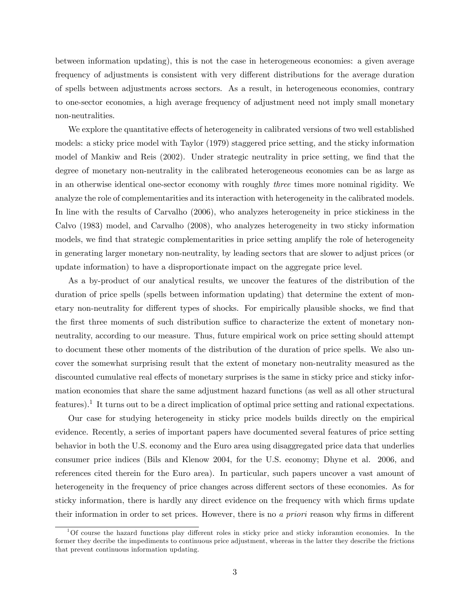between information updating), this is not the case in heterogeneous economies: a given average frequency of adjustments is consistent with very different distributions for the average duration of spells between adjustments across sectors. As a result, in heterogeneous economies, contrary to one-sector economies, a high average frequency of adjustment need not imply small monetary non-neutralities.

We explore the quantitative effects of heterogeneity in calibrated versions of two well established models: a sticky price model with Taylor (1979) staggered price setting, and the sticky information model of Mankiw and Reis (2002). Under strategic neutrality in price setting, we find that the degree of monetary non-neutrality in the calibrated heterogeneous economies can be as large as in an otherwise identical one-sector economy with roughly three times more nominal rigidity. We analyze the role of complementarities and its interaction with heterogeneity in the calibrated models. In line with the results of Carvalho (2006), who analyzes heterogeneity in price stickiness in the Calvo (1983) model, and Carvalho (2008), who analyzes heterogeneity in two sticky information models, we find that strategic complementarities in price setting amplify the role of heterogeneity in generating larger monetary non-neutrality, by leading sectors that are slower to adjust prices (or update information) to have a disproportionate impact on the aggregate price level.

As a by-product of our analytical results, we uncover the features of the distribution of the duration of price spells (spells between information updating) that determine the extent of monetary non-neutrality for different types of shocks. For empirically plausible shocks, we find that the first three moments of such distribution suffice to characterize the extent of monetary nonneutrality, according to our measure. Thus, future empirical work on price setting should attempt to document these other moments of the distribution of the duration of price spells. We also uncover the somewhat surprising result that the extent of monetary non-neutrality measured as the discounted cumulative real effects of monetary surprises is the same in sticky price and sticky information economies that share the same adjustment hazard functions (as well as all other structural features).<sup>1</sup> It turns out to be a direct implication of optimal price setting and rational expectations.

Our case for studying heterogeneity in sticky price models builds directly on the empirical evidence. Recently, a series of important papers have documented several features of price setting behavior in both the U.S. economy and the Euro area using disaggregated price data that underlies consumer price indices (Bils and Klenow 2004, for the U.S. economy; Dhyne et al. 2006, and references cited therein for the Euro area). In particular, such papers uncover a vast amount of heterogeneity in the frequency of price changes across different sectors of these economies. As for sticky information, there is hardly any direct evidence on the frequency with which firms update their information in order to set prices. However, there is no a priori reason why firms in different

 $1$ Of course the hazard functions play different roles in sticky price and sticky inforamtion economies. In the former they decribe the impediments to continuous price adjustment, whereas in the latter they describe the frictions that prevent continuous information updating.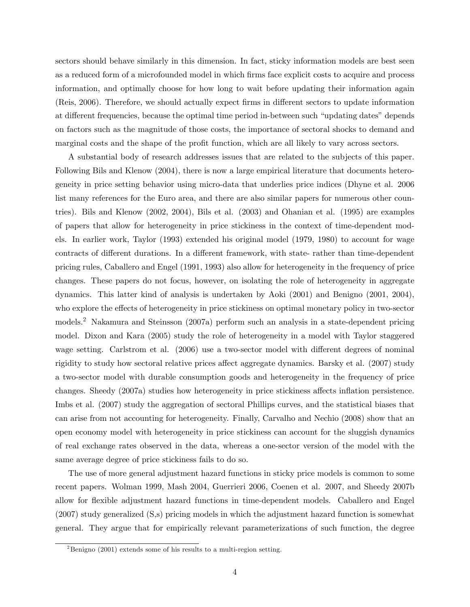sectors should behave similarly in this dimension. In fact, sticky information models are best seen as a reduced form of a microfounded model in which firms face explicit costs to acquire and process information, and optimally choose for how long to wait before updating their information again (Reis, 2006). Therefore, we should actually expect firms in different sectors to update information at different frequencies, because the optimal time period in-between such "updating dates" depends on factors such as the magnitude of those costs, the importance of sectoral shocks to demand and marginal costs and the shape of the profit function, which are all likely to vary across sectors.

A substantial body of research addresses issues that are related to the subjects of this paper. Following Bils and Klenow (2004), there is now a large empirical literature that documents heterogeneity in price setting behavior using micro-data that underlies price indices (Dhyne et al. 2006 list many references for the Euro area, and there are also similar papers for numerous other countries). Bils and Klenow (2002, 2004), Bils et al. (2003) and Ohanian et al. (1995) are examples of papers that allow for heterogeneity in price stickiness in the context of time-dependent models. In earlier work, Taylor (1993) extended his original model (1979, 1980) to account for wage contracts of different durations. In a different framework, with state- rather than time-dependent pricing rules, Caballero and Engel (1991, 1993) also allow for heterogeneity in the frequency of price changes. These papers do not focus, however, on isolating the role of heterogeneity in aggregate dynamics. This latter kind of analysis is undertaken by Aoki (2001) and Benigno (2001, 2004), who explore the effects of heterogeneity in price stickiness on optimal monetary policy in two-sector models.<sup>2</sup> Nakamura and Steinsson (2007a) perform such an analysis in a state-dependent pricing model. Dixon and Kara (2005) study the role of heterogeneity in a model with Taylor staggered wage setting. Carlstrom et al. (2006) use a two-sector model with different degrees of nominal rigidity to study how sectoral relative prices affect aggregate dynamics. Barsky et al. (2007) study a two-sector model with durable consumption goods and heterogeneity in the frequency of price changes. Sheedy (2007a) studies how heterogeneity in price stickiness affects inflation persistence. Imbs et al. (2007) study the aggregation of sectoral Phillips curves, and the statistical biases that can arise from not accounting for heterogeneity. Finally, Carvalho and Nechio (2008) show that an open economy model with heterogeneity in price stickiness can account for the sluggish dynamics of real exchange rates observed in the data, whereas a one-sector version of the model with the same average degree of price stickiness fails to do so.

The use of more general adjustment hazard functions in sticky price models is common to some recent papers. Wolman 1999, Mash 2004, Guerrieri 2006, Coenen et al. 2007, and Sheedy 2007b allow for flexible adjustment hazard functions in time-dependent models. Caballero and Engel (2007) study generalized (S,s) pricing models in which the adjustment hazard function is somewhat general. They argue that for empirically relevant parameterizations of such function, the degree

<sup>&</sup>lt;sup>2</sup>Benigno (2001) extends some of his results to a multi-region setting.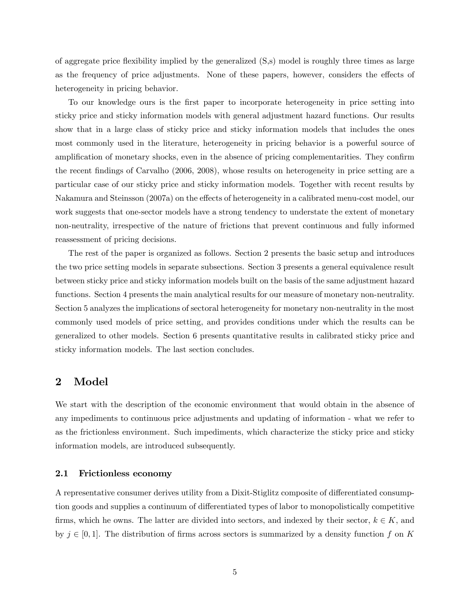of aggregate price áexibility implied by the generalized (S,s) model is roughly three times as large as the frequency of price adjustments. None of these papers, however, considers the effects of heterogeneity in pricing behavior.

To our knowledge ours is the first paper to incorporate heterogeneity in price setting into sticky price and sticky information models with general adjustment hazard functions. Our results show that in a large class of sticky price and sticky information models that includes the ones most commonly used in the literature, heterogeneity in pricing behavior is a powerful source of amplification of monetary shocks, even in the absence of pricing complementarities. They confirm the recent findings of Carvalho (2006, 2008), whose results on heterogeneity in price setting are a particular case of our sticky price and sticky information models. Together with recent results by Nakamura and Steinsson (2007a) on the effects of heterogeneity in a calibrated menu-cost model, our work suggests that one-sector models have a strong tendency to understate the extent of monetary non-neutrality, irrespective of the nature of frictions that prevent continuous and fully informed reassessment of pricing decisions.

The rest of the paper is organized as follows. Section 2 presents the basic setup and introduces the two price setting models in separate subsections. Section 3 presents a general equivalence result between sticky price and sticky information models built on the basis of the same adjustment hazard functions. Section 4 presents the main analytical results for our measure of monetary non-neutrality. Section 5 analyzes the implications of sectoral heterogeneity for monetary non-neutrality in the most commonly used models of price setting, and provides conditions under which the results can be generalized to other models. Section 6 presents quantitative results in calibrated sticky price and sticky information models. The last section concludes.

### 2 Model

We start with the description of the economic environment that would obtain in the absence of any impediments to continuous price adjustments and updating of information - what we refer to as the frictionless environment. Such impediments, which characterize the sticky price and sticky information models, are introduced subsequently.

#### 2.1 Frictionless economy

A representative consumer derives utility from a Dixit-Stiglitz composite of differentiated consumption goods and supplies a continuum of differentiated types of labor to monopolistically competitive firms, which he owns. The latter are divided into sectors, and indexed by their sector,  $k \in K$ , and by  $j \in [0, 1]$ . The distribution of firms across sectors is summarized by a density function f on K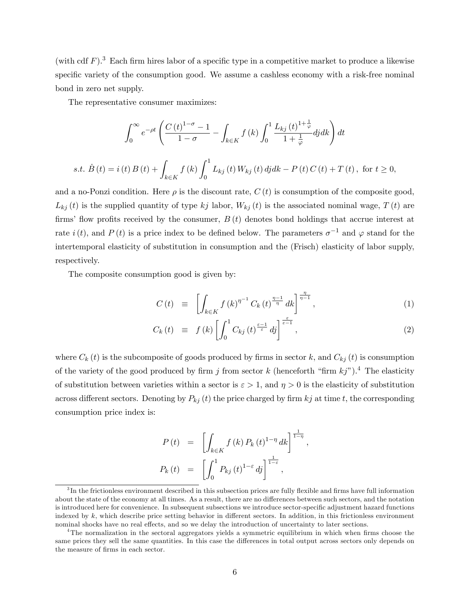(with cdf  $F$ ).<sup>3</sup> Each firm hires labor of a specific type in a competitive market to produce a likewise specific variety of the consumption good. We assume a cashless economy with a risk-free nominal bond in zero net supply.

The representative consumer maximizes:

$$
\int_0^{\infty} e^{-\rho t} \left( \frac{C(t)^{1-\sigma} - 1}{1-\sigma} - \int_{k \in K} f(k) \int_0^1 \frac{L_{kj}(t)^{1+\frac{1}{\varphi}}}{1+\frac{1}{\varphi}} dj dk \right) dt
$$
  
s.t.  $\dot{B}(t) = i(t) B(t) + \int_{k \in K} f(k) \int_0^1 L_{kj}(t) W_{kj}(t) dj dk - P(t) C(t) + T(t), \text{ for } t \ge 0,$ 

and a no-Ponzi condition. Here  $\rho$  is the discount rate,  $C(t)$  is consumption of the composite good,  $L_{kj}(t)$  is the supplied quantity of type kj labor,  $W_{kj}(t)$  is the associated nominal wage,  $T(t)$  are firms' flow profits received by the consumer,  $B(t)$  denotes bond holdings that accrue interest at rate  $i(t)$ , and  $P(t)$  is a price index to be defined below. The parameters  $\sigma^{-1}$  and  $\varphi$  stand for the intertemporal elasticity of substitution in consumption and the (Frisch) elasticity of labor supply, respectively.

The composite consumption good is given by:

$$
C(t) \equiv \left[ \int_{k \in K} f(k)^{\eta^{-1}} C_k(t)^{\frac{\eta - 1}{\eta}} dk \right]^{\frac{\eta}{\eta - 1}}, \tag{1}
$$

$$
C_k(t) \equiv f(k) \left[ \int_0^1 C_{kj}(t)^{\frac{\varepsilon-1}{\varepsilon}} dy \right]^{\frac{\varepsilon}{\varepsilon-1}}, \qquad (2)
$$

;

where  $C_k(t)$  is the subcomposite of goods produced by firms in sector k, and  $C_{kj}(t)$  is consumption of the variety of the good produced by firm j from sector k (henceforth "firm  $kj$ ").<sup>4</sup> The elasticity of substitution between varieties within a sector is  $\varepsilon > 1$ , and  $\eta > 0$  is the elasticity of substitution across different sectors. Denoting by  $P_{kj}(t)$  the price charged by firm  $kj$  at time t, the corresponding consumption price index is:

$$
P(t) = \left[ \int_{k \in K} f(k) P_k(t)^{1-\eta} dk \right]^{\frac{1}{1-\eta}}
$$
  

$$
P_k(t) = \left[ \int_0^1 P_{kj}(t)^{1-\epsilon} dj \right]^{\frac{1}{1-\epsilon}},
$$

 ${}^{3}$ In the frictionless environment described in this subsection prices are fully flexible and firms have full information about the state of the economy at all times. As a result, there are no differences between such sectors, and the notation is introduced here for convenience. In subsequent subsections we introduce sector-specific adjustment hazard functions indexed by  $k$ , which describe price setting behavior in different sectors. In addition, in this frictionless environment nominal shocks have no real effects, and so we delay the introduction of uncertainty to later sections.

<sup>&</sup>lt;sup>4</sup>The normalization in the sectoral aggregators yields a symmetric equilibrium in which when firms choose the same prices they sell the same quantities. In this case the differences in total output across sectors only depends on the measure of firms in each sector.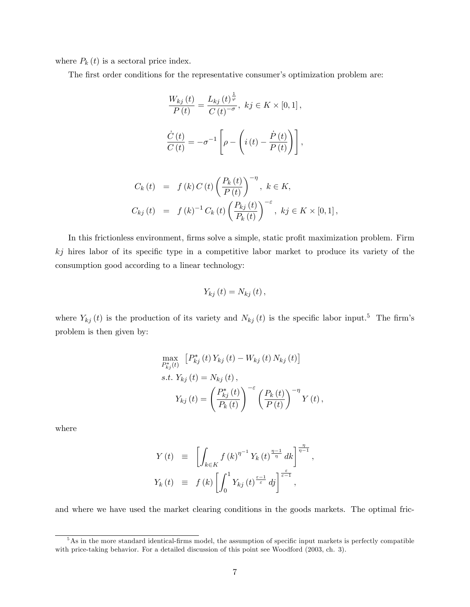where  $P_k(t)$  is a sectoral price index.

The first order conditions for the representative consumer's optimization problem are:

$$
\frac{W_{kj}(t)}{P(t)} = \frac{L_{kj}(t)^{\frac{1}{\varphi}}}{C(t)^{-\sigma}}, \quad kj \in K \times [0, 1],
$$

$$
\frac{\dot{C}(t)}{C(t)} = -\sigma^{-1} \left[ \rho - \left( i(t) - \frac{\dot{P}(t)}{P(t)} \right) \right],
$$

$$
C_{k}(t) = f(k) C(t) \left(\frac{P_{k}(t)}{P(t)}\right)^{-\eta}, \ k \in K,
$$
  

$$
C_{kj}(t) = f(k)^{-1} C_{k}(t) \left(\frac{P_{kj}(t)}{P_{k}(t)}\right)^{-\varepsilon}, \ kj \in K \times [0, 1],
$$

In this frictionless environment, firms solve a simple, static profit maximization problem. Firm  $kj$  hires labor of its specific type in a competitive labor market to produce its variety of the consumption good according to a linear technology:

$$
Y_{kj}(t)=N_{kj}(t),
$$

where  $Y_{kj}(t)$  is the production of its variety and  $N_{kj}(t)$  is the specific labor input.<sup>5</sup> The firm's problem is then given by:

$$
\max_{P_{kj}^*(t)} [P_{kj}^*(t) Y_{kj}(t) - W_{kj}(t) N_{kj}(t)]
$$
  
s.t.  $Y_{kj}(t) = N_{kj}(t)$ ,  

$$
Y_{kj}(t) = \left(\frac{P_{kj}^*(t)}{P_k(t)}\right)^{-\varepsilon} \left(\frac{P_k(t)}{P(t)}\right)^{-\eta} Y(t),
$$

where

$$
Y(t) \equiv \left[ \int_{k \in K} f(k)^{\eta^{-1}} Y_k(t)^{\frac{\eta - 1}{\eta}} dk \right]^{\frac{\eta}{\eta - 1}},
$$
  

$$
Y_k(t) \equiv f(k) \left[ \int_0^1 Y_{kj}(t)^{\frac{\varepsilon - 1}{\varepsilon}} dj \right]^{\frac{\varepsilon}{\varepsilon - 1}},
$$

and where we have used the market clearing conditions in the goods markets. The optimal fric-

 $5$ As in the more standard identical-firms model, the assumption of specific input markets is perfectly compatible with price-taking behavior. For a detailed discussion of this point see Woodford (2003, ch. 3).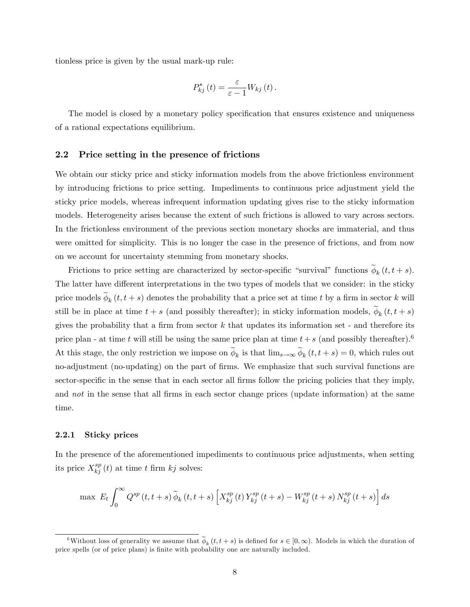tionless price is given by the usual mark-up rule:

$$
P_{kj}^*(t) = \frac{\varepsilon}{\varepsilon - 1} W_{kj}(t).
$$

The model is closed by a monetary policy specification that ensures existence and uniqueness of a rational expectations equilibrium.

#### 2.2 Price setting in the presence of frictions

We obtain our sticky price and sticky information models from the above frictionless environment by introducing frictions to price setting. Impediments to continuous price adjustment yield the sticky price models, whereas infrequent information updating gives rise to the sticky information models. Heterogeneity arises because the extent of such frictions is allowed to vary across sectors. In the frictionless environment of the previous section monetary shocks are immaterial, and thus were omitted for simplicity. This is no longer the case in the presence of frictions, and from now on we account for uncertainty stemming from monetary shocks.

Frictions to price setting are characterized by sector-specific "survival" functions  $\phi_k(t, t + s)$ . The latter have different interpretations in the two types of models that we consider: in the sticky price models  $\phi_k(t, t + s)$  denotes the probability that a price set at time t by a firm in sector k will still be in place at time  $t + s$  (and possibly thereafter); in sticky information models,  $\phi_k(t, t + s)$ gives the probability that a firm from sector  $k$  that updates its information set - and therefore its price plan - at time t will still be using the same price plan at time  $t + s$  (and possibly thereafter).<sup>6</sup> At this stage, the only restriction we impose on  $\phi_k$  is that  $\lim_{s\to\infty}\phi_k(t,t+s)=0$ , which rules out no-adjustment (no-updating) on the part of firms. We emphasize that such survival functions are sector-specific in the sense that in each sector all firms follow the pricing policies that they imply, and *not* in the sense that all firms in each sector change prices (update information) at the same time.

#### 2.2.1 Sticky prices

In the presence of the aforementioned impediments to continuous price adjustments, when setting its price  $X_{kj}^{sp}(t)$  at time t firm  $kj$  solves:

$$
\max \ E_t \int_0^\infty Q^{sp}(t,t+s) \widetilde{\phi}_{k}(t,t+s) \left[ X^{sp}_{kj}(t) Y^{sp}_{kj}(t+s) - W^{sp}_{kj}(t+s) N^{sp}_{kj}(t+s) \right] ds
$$

<sup>&</sup>lt;sup>6</sup>Without loss of generality we assume that  $\phi_k(t,t+s)$  is defined for  $s \in [0,\infty)$ . Models in which the duration of price spells (or of price plans) is Önite with probability one are naturally included.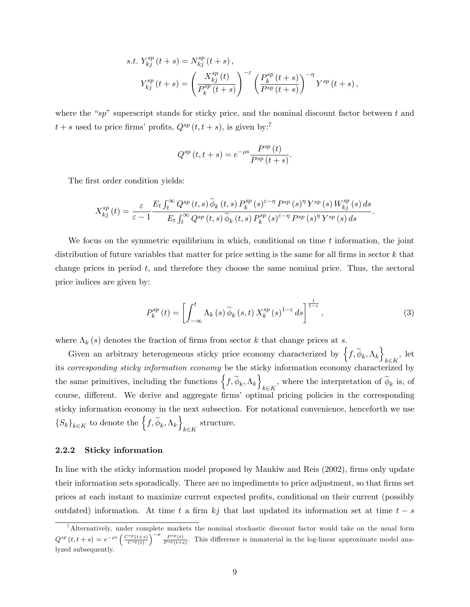s.t. 
$$
Y_{kj}^{sp}(t+s) = N_{kj}^{sp}(t+s)
$$
,  
\n
$$
Y_{kj}^{sp}(t+s) = \left(\frac{X_{kj}^{sp}(t)}{P_k^{sp}(t+s)}\right)^{-\varepsilon} \left(\frac{P_k^{sp}(t+s)}{P_{sp}(t+s)}\right)^{-\eta} Y^{sp}(t+s),
$$

where the "sp" superscript stands for sticky price, and the nominal discount factor between t and  $t + s$  used to price firms' profits,  $Q^{sp}(t, t + s)$ , is given by:<sup>7</sup>

$$
Q^{sp}(t,t+s) = e^{-\rho s} \frac{P^{sp}(t)}{P^{sp}(t+s)}.
$$

The first order condition yields:

$$
X_{kj}^{sp}(t) = \frac{\varepsilon}{\varepsilon - 1} \frac{E_t \int_t^{\infty} Q^{sp}(t, s) \, \widetilde{\phi}_k(t, s) \, P_k^{sp}(s)^{\varepsilon - \eta} P^{sp}(s)^{\eta} Y^{sp}(s) \, W_{kj}^{sp}(s) \, ds}{E_t \int_t^{\infty} Q^{sp}(t, s) \, \widetilde{\phi}_k(t, s) \, P_k^{sp}(s)^{\varepsilon - \eta} P^{sp}(s)^{\eta} Y^{sp}(s) \, ds}.
$$

We focus on the symmetric equilibrium in which, conditional on time  $t$  information, the joint distribution of future variables that matter for price setting is the same for all firms in sector  $k$  that change prices in period  $t$ , and therefore they choose the same nominal price. Thus, the sectoral price indices are given by:

$$
P_k^{sp}(t) = \left[ \int_{-\infty}^t \Lambda_k(s) \, \widetilde{\phi}_k(s, t) \, X_k^{sp}(s)^{1-\varepsilon} \, ds \right]^{\frac{1}{1-\varepsilon}},\tag{3}
$$

where  $\Lambda_k(s)$  denotes the fraction of firms from sector k that change prices at s.

Given an arbitrary heterogeneous sticky price economy characterized by  $\left\{f, \widetilde{\phi}_k, \Lambda_k\right\}_{k \in K}$ , let  $\stackrel{k\in K}{\cdot}$ its corresponding sticky information economy be the sticky information economy characterized by the same primitives, including the functions  $\left\{f, \widetilde{\phi}_k, \Lambda_k\right\}$  $_{k \in K}$ , where the interpretation of  $\phi_k$  is, of course, different. We derive and aggregate firms' optimal pricing policies in the corresponding sticky information economy in the next subsection. For notational convenience, henceforth we use  $\{S_k\}_{k\in K}$  to denote the  $\left\{f,\widetilde{\phi}_k,\Lambda_k\right\}$  $k \in K$ structure.

#### 2.2.2 Sticky information

In line with the sticky information model proposed by Mankiw and Reis (2002), firms only update their information sets sporadically. There are no impediments to price adjustment, so that firms set prices at each instant to maximize current expected profits, conditional on their current (possibly outdated) information. At time t a firm kj that last updated its information set at time  $t - s$ 

<sup>&</sup>lt;sup>7</sup>Alternatively, under complete markets the nominal stochastic discount factor would take on the usual form  $Q^{sp}(t,t+s) = e^{-\rho s} \left(\frac{C^{sp}(t+s)}{C^{sp}(t)}\right)^{-\sigma} \frac{P^{sp}(t)}{P^{sp}(t+s)}$ . This difference is immaterial in the log-linear approximate model analyzed subsequently.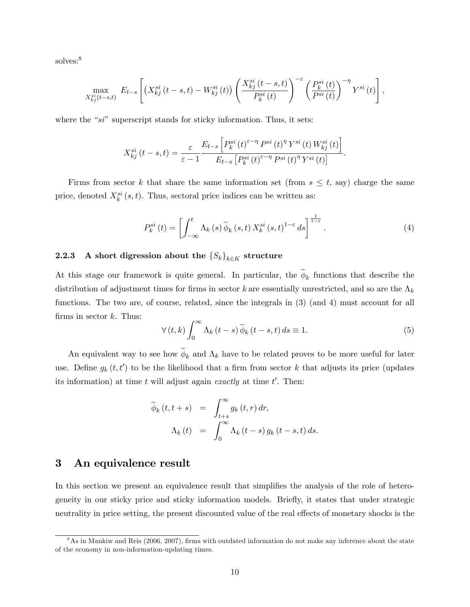solves:<sup>8</sup>

$$
\max_{X_{kj}^{si}(t-s,t)} E_{t-s}\left[ \left(X_{kj}^{si}\left(t-s,t\right)-W_{kj}^{si}\left(t\right)\right)\left(\frac{X_{kj}^{si}\left(t-s,t\right)}{P_{k}^{si}\left(t\right)}\right)^{-\varepsilon}\left(\frac{P_{k}^{si}\left(t\right)}{P^{si}\left(t\right)}\right)^{-\eta}Y^{si}\left(t\right)\right],
$$

where the " $si$ " superscript stands for sticky information. Thus, it sets:

$$
X_{kj}^{si}(t-s,t) = \frac{\varepsilon}{\varepsilon - 1} \frac{E_{t-s} \left[ P_k^{si}(t)^{\varepsilon - \eta} P^{si}(t)^{\eta} Y^{si}(t) W_{kj}^{si}(t) \right]}{E_{t-s} \left[ P_k^{si}(t)^{\varepsilon - \eta} P^{si}(t)^{\eta} Y^{si}(t) \right]}.
$$

Firms from sector k that share the same information set (from  $s \leq t$ , say) charge the same price, denoted  $X_k^{si}(s,t)$ . Thus, sectoral price indices can be written as:

$$
P_k^{si}(t) = \left[ \int_{-\infty}^t \Lambda_k(s) \widetilde{\phi}_k(s,t) \, X_k^{si}(s,t)^{1-\varepsilon} \, ds \right]^{\frac{1}{1-\varepsilon}}. \tag{4}
$$

#### 2.2.3 A short digression about the  $\{S_k\}_{k\in K}$  structure

At this stage our framework is quite general. In particular, the  $\phi_k$  functions that describe the distribution of adjustment times for firms in sector k are essentially unrestricted, and so are the  $\Lambda_k$ functions. The two are, of course, related, since the integrals in (3) (and 4) must account for all firms in sector  $k$ . Thus:

$$
\forall (t,k) \int_0^\infty \Lambda_k(t-s) \widetilde{\phi}_k(t-s,t) ds \equiv 1.
$$
 (5)

An equivalent way to see how  $\phi_k$  and  $\Lambda_k$  have to be related proves to be more useful for later use. Define  $g_k(t, t')$  to be the likelihood that a firm from sector k that adjusts its price (updates its information) at time t will adjust again exactly at time  $t'$ . Then:

$$
\widetilde{\phi}_k(t, t+s) = \int_{t+s}^{\infty} g_k(t, r) dr,
$$
  

$$
\Lambda_k(t) = \int_0^{\infty} \Lambda_k(t-s) g_k(t-s,t) ds.
$$

### 3 An equivalence result

In this section we present an equivalence result that simplifies the analysis of the role of heterogeneity in our sticky price and sticky information models. Briefly, it states that under strategic neutrality in price setting, the present discounted value of the real effects of monetary shocks is the

 $8\text{As}$  in Mankiw and Reis (2006, 2007), firms with outdated information do not make any inference about the state of the economy in non-information-updating times.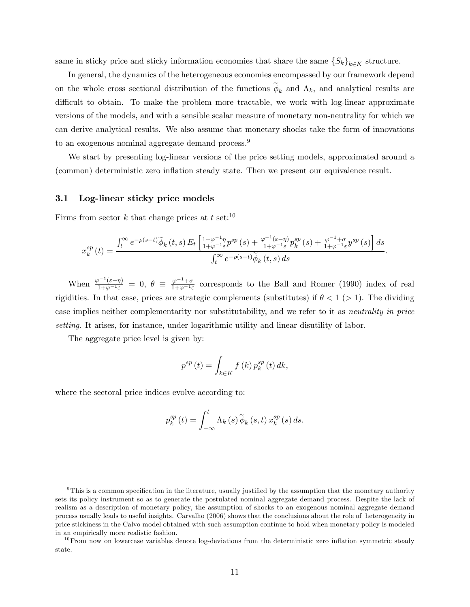same in sticky price and sticky information economies that share the same  $\{S_k\}_{k\in K}$  structure.

In general, the dynamics of the heterogeneous economies encompassed by our framework depend on the whole cross sectional distribution of the functions  $\phi_k$  and  $\Lambda_k$ , and analytical results are difficult to obtain. To make the problem more tractable, we work with log-linear approximate versions of the models, and with a sensible scalar measure of monetary non-neutrality for which we can derive analytical results. We also assume that monetary shocks take the form of innovations to an exogenous nominal aggregate demand process.<sup>9</sup>

We start by presenting log-linear versions of the price setting models, approximated around a (common) deterministic zero inflation steady state. Then we present our equivalence result.

#### 3.1 Log-linear sticky price models

Firms from sector k that change prices at t set:<sup>10</sup>

$$
x_{k}^{sp}\left(t\right)=\frac{\int_{t}^{\infty}e^{-\rho\left(s-t\right)}\widetilde{\phi}_{k}\left(t,s\right)E_{t}\left[\frac{1+\varphi^{-1}\eta}{1+\varphi^{-1}\varepsilon}p^{sp}\left(s\right)+\frac{\varphi^{-1}\left(\varepsilon-\eta\right)}{1+\varphi^{-1}\varepsilon}p_{k}^{sp}\left(s\right)+\frac{\varphi^{-1}+\sigma}{1+\varphi^{-1}\varepsilon}y^{sp}\left(s\right)\right]ds}{\int_{t}^{\infty}e^{-\rho\left(s-t\right)}\widetilde{\phi}_{k}\left(t,s\right)ds}.
$$

When  $\frac{\varphi^{-1}(\varepsilon-\eta)}{1+\varphi^{-1}\varepsilon} = 0$ ,  $\theta \equiv \frac{\varphi^{-1}+\sigma}{1+\varphi^{-1}\varepsilon}$  $\frac{\varphi^{-1}+\sigma}{1+\varphi^{-1}\varepsilon}$  corresponds to the Ball and Romer (1990) index of real rigidities. In that case, prices are strategic complements (substitutes) if  $\theta < 1$  (> 1). The dividing case implies neither complementarity nor substitutability, and we refer to it as neutrality in price setting. It arises, for instance, under logarithmic utility and linear disutility of labor.

The aggregate price level is given by:

$$
p^{sp}(t) = \int_{k \in K} f(k) p_k^{sp}(t) dk,
$$

where the sectoral price indices evolve according to:

$$
p_k^{sp}(t) = \int_{-\infty}^t \Lambda_k(s) \widetilde{\phi}_k(s,t) x_k^{sp}(s) ds.
$$

 $9$ This is a common specification in the literature, usually justified by the assumption that the monetary authority sets its policy instrument so as to generate the postulated nominal aggregate demand process. Despite the lack of realism as a description of monetary policy, the assumption of shocks to an exogenous nominal aggregate demand process usually leads to useful insights. Carvalho (2006) shows that the conclusions about the role of heterogeneity in price stickiness in the Calvo model obtained with such assumption continue to hold when monetary policy is modeled in an empirically more realistic fashion.

 $10$  From now on lowercase variables denote log-deviations from the deterministic zero inflation symmetric steady state.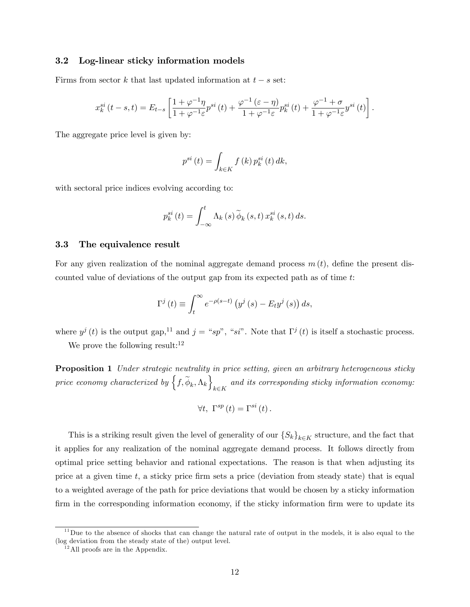#### 3.2 Log-linear sticky information models

Firms from sector k that last updated information at  $t - s$  set:

$$
x_k^{si}(t-s,t) = E_{t-s} \left[ \frac{1+\varphi^{-1}\eta}{1+\varphi^{-1}\varepsilon} p^{si}(t) + \frac{\varphi^{-1}(\varepsilon-\eta)}{1+\varphi^{-1}\varepsilon} p_k^{si}(t) + \frac{\varphi^{-1}+\sigma}{1+\varphi^{-1}\varepsilon} y^{si}(t) \right].
$$

The aggregate price level is given by:

$$
p^{si}(t) = \int_{k \in K} f(k) p_k^{si}(t) dk,
$$

with sectoral price indices evolving according to:

$$
p_k^{si}(t) = \int_{-\infty}^{t} \Lambda_k(s) \widetilde{\phi}_k(s,t) x_k^{si}(s,t) ds.
$$

#### 3.3 The equivalence result

For any given realization of the nominal aggregate demand process  $m(t)$ , define the present discounted value of deviations of the output gap from its expected path as of time  $t$ :

$$
\Gamma^{j}(t) \equiv \int_{t}^{\infty} e^{-\rho(s-t)} \left( y^{j}(s) - E_{t} y^{j}(s) \right) ds,
$$

where  $y^j(t)$  is the output gap,<sup>11</sup> and  $j = "sp$ ", "si". Note that  $\Gamma^j(t)$  is itself a stochastic process.

We prove the following result:  $12$ 

Proposition 1 Under strategic neutrality in price setting, given an arbitrary heterogeneous sticky price economy characterized by  $\left\{f, \widetilde{\phi}_k, \Lambda_k\right\}$  $k \in K$ and its corresponding sticky information economy:

$$
\forall t, \ \Gamma^{sp}\left(t\right) = \Gamma^{si}\left(t\right).
$$

This is a striking result given the level of generality of our  $\{S_k\}_{k\in K}$  structure, and the fact that it applies for any realization of the nominal aggregate demand process. It follows directly from optimal price setting behavior and rational expectations. The reason is that when adjusting its price at a given time  $t$ , a sticky price firm sets a price (deviation from steady state) that is equal to a weighted average of the path for price deviations that would be chosen by a sticky information firm in the corresponding information economy, if the sticky information firm were to update its

 $11$  Due to the absence of shocks that can change the natural rate of output in the models, it is also equal to the (log deviation from the steady state of the) output level.

 $12$ All proofs are in the Appendix.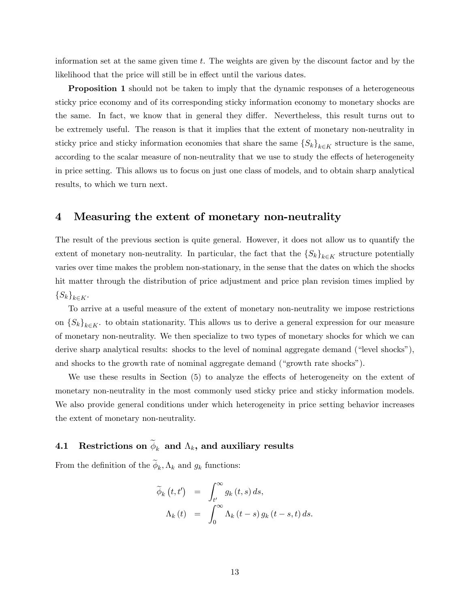information set at the same given time t. The weights are given by the discount factor and by the likelihood that the price will still be in effect until the various dates.

**Proposition 1** should not be taken to imply that the dynamic responses of a heterogeneous sticky price economy and of its corresponding sticky information economy to monetary shocks are the same. In fact, we know that in general they differ. Nevertheless, this result turns out to be extremely useful. The reason is that it implies that the extent of monetary non-neutrality in sticky price and sticky information economies that share the same  $\{S_k\}_{k\in K}$  structure is the same, according to the scalar measure of non-neutrality that we use to study the effects of heterogeneity in price setting. This allows us to focus on just one class of models, and to obtain sharp analytical results, to which we turn next.

### 4 Measuring the extent of monetary non-neutrality

The result of the previous section is quite general. However, it does not allow us to quantify the extent of monetary non-neutrality. In particular, the fact that the  $\{S_k\}_{k\in K}$  structure potentially varies over time makes the problem non-stationary, in the sense that the dates on which the shocks hit matter through the distribution of price adjustment and price plan revision times implied by  $\{S_k\}_{k\in K}$ .

To arrive at a useful measure of the extent of monetary non-neutrality we impose restrictions on  $\{S_k\}_{k\in K}$ . to obtain stationarity. This allows us to derive a general expression for our measure of monetary non-neutrality. We then specialize to two types of monetary shocks for which we can derive sharp analytical results: shocks to the level of nominal aggregate demand ("level shocks"), and shocks to the growth rate of nominal aggregate demand ("growth rate shocks").

We use these results in Section  $(5)$  to analyze the effects of heterogeneity on the extent of monetary non-neutrality in the most commonly used sticky price and sticky information models. We also provide general conditions under which heterogeneity in price setting behavior increases the extent of monetary non-neutrality.

# 4.1 Restrictions on  $\phi_k$  and  $\Lambda_k$ , and auxiliary results

From the definition of the  $\phi_k, \Lambda_k$  and  $g_k$  functions:

$$
\widetilde{\phi}_{k}(t,t') = \int_{t'}^{\infty} g_{k}(t,s) ds,
$$
  

$$
\Lambda_{k}(t) = \int_{0}^{\infty} \Lambda_{k}(t-s) g_{k}(t-s,t) ds.
$$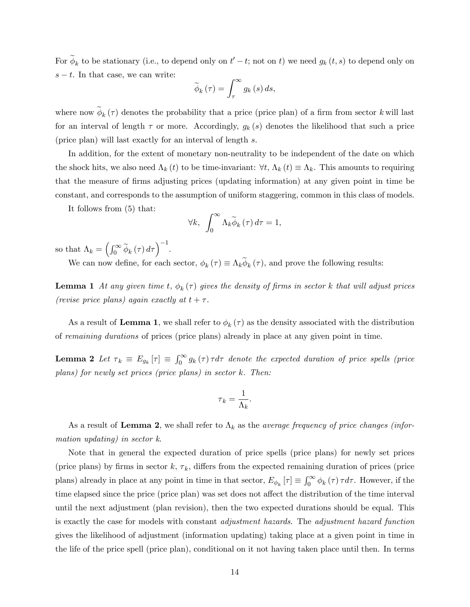For  $\phi_k$  to be stationary (i.e., to depend only on  $t'-t$ ; not on t) we need  $g_k(t,s)$  to depend only on  $s - t$ . In that case, we can write:

$$
\widetilde{\phi}_{k}(\tau) = \int_{\tau}^{\infty} g_{k}(s) ds,
$$

where now  $\phi_k(\tau)$  denotes the probability that a price (price plan) of a firm from sector k will last for an interval of length  $\tau$  or more. Accordingly,  $g_k(s)$  denotes the likelihood that such a price (price plan) will last exactly for an interval of length s.

In addition, for the extent of monetary non-neutrality to be independent of the date on which the shock hits, we also need  $\Lambda_k(t)$  to be time-invariant:  $\forall t, \Lambda_k(t) \equiv \Lambda_k$ . This amounts to requiring that the measure of Örms adjusting prices (updating information) at any given point in time be constant, and corresponds to the assumption of uniform staggering, common in this class of models.

It follows from (5) that:

$$
\forall k, \int_0^\infty \Lambda_k \widetilde{\phi}_k(\tau) d\tau = 1,
$$

so that  $\Lambda_k = \left(\int_0^\infty \widetilde{\phi}_k(\tau) d\tau\right)^{-1}$ .

We can now define, for each sector,  $\phi_k(\tau) \equiv \Lambda_k \phi_k(\tau)$ , and prove the following results:

**Lemma 1** At any given time t,  $\phi_k(\tau)$  gives the density of firms in sector k that will adjust prices (revise price plans) again exactly at  $t + \tau$ .

As a result of Lemma 1, we shall refer to  $\phi_k(\tau)$  as the density associated with the distribution of remaining durations of prices (price plans) already in place at any given point in time.

**Lemma 2** Let  $\tau_k \equiv E_{g_k}[\tau] \equiv \int_0^\infty g_k(\tau) \tau d\tau$  denote the expected duration of price spells (price plans) for newly set prices (price plans) in sector k. Then:

$$
\tau_k = \frac{1}{\Lambda_k}.
$$

As a result of Lemma 2, we shall refer to  $\Lambda_k$  as the *average frequency of price changes (infor*mation updating) in sector k.

Note that in general the expected duration of price spells (price plans) for newly set prices (price plans) by firms in sector  $k, \tau_k$ , differs from the expected remaining duration of prices (price plans) already in place at any point in time in that sector,  $E_{\phi_k}[\tau] \equiv \int_0^\infty \phi_k(\tau) \tau d\tau$ . However, if the time elapsed since the price (price plan) was set does not affect the distribution of the time interval until the next adjustment (plan revision), then the two expected durations should be equal. This is exactly the case for models with constant adjustment hazards. The adjustment hazard function gives the likelihood of adjustment (information updating) taking place at a given point in time in the life of the price spell (price plan), conditional on it not having taken place until then. In terms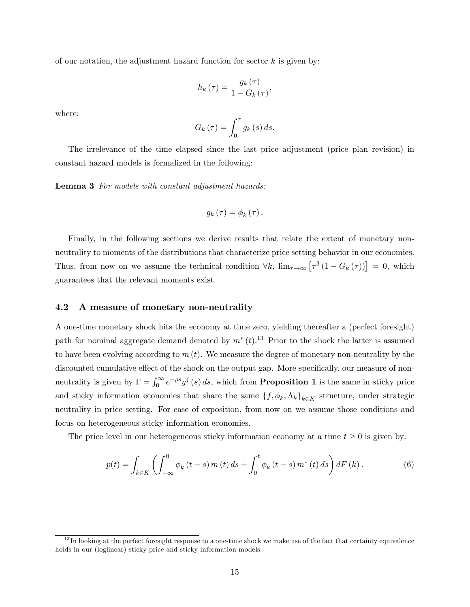of our notation, the adjustment hazard function for sector  $k$  is given by:

$$
h_k(\tau) = \frac{g_k(\tau)}{1 - G_k(\tau)},
$$

where:

$$
G_k(\tau) = \int_0^{\tau} g_k(s) \, ds.
$$

The irrelevance of the time elapsed since the last price adjustment (price plan revision) in constant hazard models is formalized in the following:

Lemma 3 For models with constant adjustment hazards:

$$
g_{k}(\tau)=\phi_{k}(\tau).
$$

Finally, in the following sections we derive results that relate the extent of monetary nonneutrality to moments of the distributions that characterize price setting behavior in our economies. Thus, from now on we assume the technical condition  $\forall k$ ,  $\lim_{\tau \to \infty} [\tau^3 (1 - G_k(\tau))] = 0$ , which guarantees that the relevant moments exist.

#### 4.2 A measure of monetary non-neutrality

A one-time monetary shock hits the economy at time zero, yielding thereafter a (perfect foresight) path for nominal aggregate demand denoted by  $m^*(t)$ .<sup>13</sup> Prior to the shock the latter is assumed to have been evolving according to  $m(t)$ . We measure the degree of monetary non-neutrality by the discounted cumulative effect of the shock on the output gap. More specifically, our measure of nonneutrality is given by  $\Gamma = \int_0^\infty e^{-\rho s} y^j(s) ds$ , which from **Proposition 1** is the same in sticky price and sticky information economies that share the same  $\{f, \phi_k, \Lambda_k\}_{k \in K}$  structure, under strategic neutrality in price setting. For ease of exposition, from now on we assume those conditions and focus on heterogeneous sticky information economies.

The price level in our heterogeneous sticky information economy at a time  $t \geq 0$  is given by:

$$
p(t) = \int_{k \in K} \left( \int_{-\infty}^{0} \phi_k(t - s) \, m(t) \, ds + \int_{0}^{t} \phi_k(t - s) \, m^*(t) \, ds \right) dF(k). \tag{6}
$$

 $13$  In looking at the perfect foresight response to a one-time shock we make use of the fact that certainty equivalence holds in our (loglinear) sticky price and sticky information models.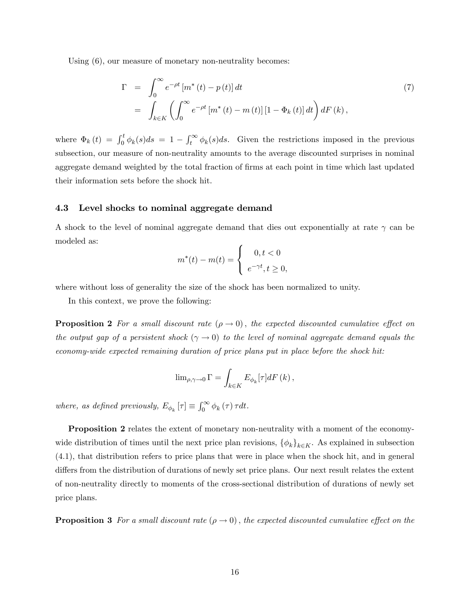Using (6), our measure of monetary non-neutrality becomes:

$$
\Gamma = \int_0^\infty e^{-\rho t} \left[ m^*(t) - p(t) \right] dt
$$
\n
$$
= \int_{k \in K} \left( \int_0^\infty e^{-\rho t} \left[ m^*(t) - m(t) \right] \left[ 1 - \Phi_k(t) \right] dt \right) dF(k), \qquad (7)
$$

where  $\Phi_k(t) = \int_0^t \phi_k(s)ds = 1 - \int_t^{\infty} \phi_k(s)ds$ . Given the restrictions imposed in the previous subsection, our measure of non-neutrality amounts to the average discounted surprises in nominal aggregate demand weighted by the total fraction of firms at each point in time which last updated their information sets before the shock hit.

#### 4.3 Level shocks to nominal aggregate demand

A shock to the level of nominal aggregate demand that dies out exponentially at rate  $\gamma$  can be modeled as:

$$
m^*(t) - m(t) = \begin{cases} 0, t < 0 \\ e^{-\gamma t}, t \ge 0, \end{cases}
$$

where without loss of generality the size of the shock has been normalized to unity.

In this context, we prove the following:

**Proposition 2** For a small discount rate  $(\rho \to 0)$ , the expected discounted cumulative effect on the output gap of a persistent shock  $(\gamma \to 0)$  to the level of nominal aggregate demand equals the economy-wide expected remaining duration of price plans put in place before the shock hit:

$$
\lim\nolimits_{\rho,\gamma\to0}\Gamma=\int_{k\in K}E_{\phi_{k}}[\tau]dF\left(k\right),
$$

where, as defined previously,  $E_{\phi_k}[\tau] \equiv \int_0^\infty \phi_k(\tau) \tau dt$ .

**Proposition 2** relates the extent of monetary non-neutrality with a moment of the economywide distribution of times until the next price plan revisions,  $\{\phi_k\}_{k\in K}$ . As explained in subsection (4.1), that distribution refers to price plans that were in place when the shock hit, and in general differs from the distribution of durations of newly set price plans. Our next result relates the extent of non-neutrality directly to moments of the cross-sectional distribution of durations of newly set price plans.

**Proposition 3** For a small discount rate  $(\rho \to 0)$ , the expected discounted cumulative effect on the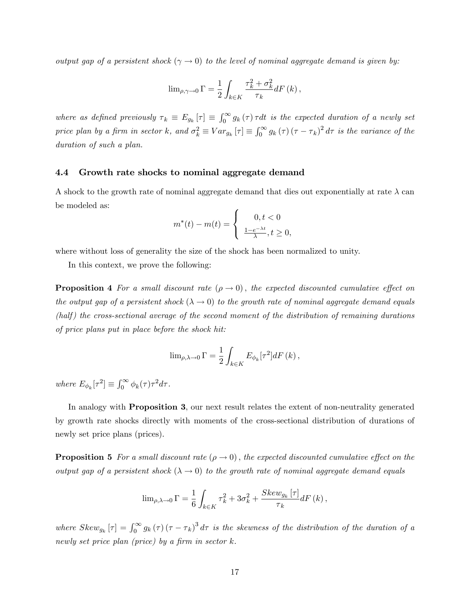output gap of a persistent shock ( $\gamma \to 0$ ) to the level of nominal aggregate demand is given by:

$$
\lim_{\rho,\gamma \to 0} \Gamma = \frac{1}{2} \int_{k \in K} \frac{\tau_k^2 + \sigma_k^2}{\tau_k} dF(k),
$$

where as defined previously  $\tau_k \equiv E_{g_k}[\tau] \equiv \int_0^\infty g_k(\tau) \tau dt$  is the expected duration of a newly set price plan by a firm in sector k, and  $\sigma_k^2 \equiv Var_{g_k}[\tau] \equiv \int_0^\infty g_k(\tau) (\tau - \tau_k)^2 d\tau$  is the variance of the duration of such a plan.

#### 4.4 Growth rate shocks to nominal aggregate demand

A shock to the growth rate of nominal aggregate demand that dies out exponentially at rate  $\lambda$  can be modeled as:

$$
m^{*}(t) - m(t) = \begin{cases} 0, t < 0\\ \frac{1 - e^{-\lambda t}}{\lambda}, t \ge 0, \end{cases}
$$

where without loss of generality the size of the shock has been normalized to unity.

In this context, we prove the following:

**Proposition 4** For a small discount rate  $(\rho \rightarrow 0)$ , the expected discounted cumulative effect on the output gap of a persistent shock  $(\lambda \to 0)$  to the growth rate of nominal aggregate demand equals  $(half)$  the cross-sectional average of the second moment of the distribution of remaining durations of price plans put in place before the shock hit:

$$
\lim_{\rho,\lambda\to 0} \Gamma = \frac{1}{2} \int_{k \in K} E_{\phi_k}[\tau^2] dF(k),
$$

where  $E_{\phi_k}[\tau^2] \equiv \int_0^\infty \phi_k(\tau) \tau^2 d\tau$ .

In analogy with Proposition 3, our next result relates the extent of non-neutrality generated by growth rate shocks directly with moments of the cross-sectional distribution of durations of newly set price plans (prices).

**Proposition 5** For a small discount rate  $(\rho \to 0)$ , the expected discounted cumulative effect on the output gap of a persistent shock  $(\lambda \to 0)$  to the growth rate of nominal aggregate demand equals

$$
\lim_{\rho,\lambda\to 0} \Gamma = \frac{1}{6} \int_{k \in K} \tau_k^2 + 3\sigma_k^2 + \frac{Skew_{g_k}[\tau]}{\tau_k} dF(k),
$$

where  $Skew_{g_k}[\tau] = \int_0^\infty g_k(\tau) (\tau - \tau_k)^3 d\tau$  is the skewness of the distribution of the duration of a newly set price plan (price) by a firm in sector  $k$ .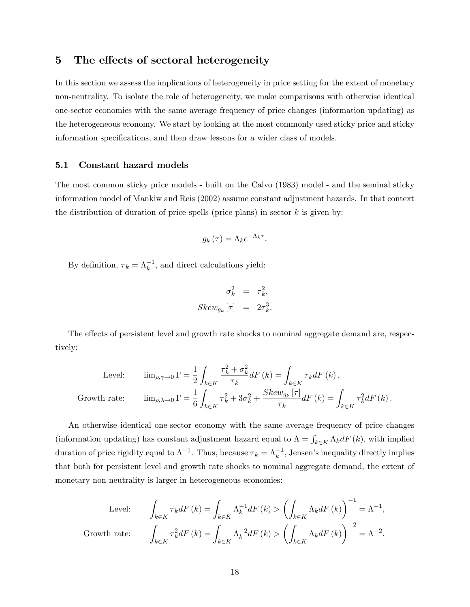### 5 The effects of sectoral heterogeneity

In this section we assess the implications of heterogeneity in price setting for the extent of monetary non-neutrality. To isolate the role of heterogeneity, we make comparisons with otherwise identical one-sector economies with the same average frequency of price changes (information updating) as the heterogeneous economy. We start by looking at the most commonly used sticky price and sticky information specifications, and then draw lessons for a wider class of models.

#### 5.1 Constant hazard models

The most common sticky price models - built on the Calvo (1983) model - and the seminal sticky information model of Mankiw and Reis (2002) assume constant adjustment hazards. In that context the distribution of duration of price spells (price plans) in sector  $k$  is given by:

$$
g_k(\tau) = \Lambda_k e^{-\Lambda_k \tau}.
$$

By definition,  $\tau_k = \Lambda_k^{-1}$ , and direct calculations yield:

$$
\sigma_k^2 = \tau_k^2,
$$
  
Skew<sub>g<sub>k</sub></sub>  $[\tau] = 2\tau_k^3.$ 

The effects of persistent level and growth rate shocks to nominal aggregate demand are, respectively:

Level:

\n
$$
\lim_{\rho,\gamma\to 0} \Gamma = \frac{1}{2} \int_{k \in K} \frac{\tau_k^2 + \sigma_k^2}{\tau_k} dF(k) = \int_{k \in K} \tau_k dF(k),
$$
\nGrowth rate:

\n
$$
\lim_{\rho,\lambda\to 0} \Gamma = \frac{1}{6} \int_{k \in K} \tau_k^2 + 3\sigma_k^2 + \frac{Skew_{g_k}[\tau]}{\tau_k} dF(k) = \int_{k \in K} \tau_k^2 dF(k).
$$

An otherwise identical one-sector economy with the same average frequency of price changes (information updating) has constant adjustment hazard equal to  $\Lambda = \int_{k \in K} \Lambda_k dF(k)$ , with implied duration of price rigidity equal to  $\Lambda^{-1}$ . Thus, because  $\tau_k = \Lambda_k^{-1}$ , Jensen's inequality directly implies that both for persistent level and growth rate shocks to nominal aggregate demand, the extent of monetary non-neutrality is larger in heterogeneous economies:

Level:

\n
$$
\int_{k \in K} \tau_k dF(k) = \int_{k \in K} \Lambda_k^{-1} dF(k) > \left( \int_{k \in K} \Lambda_k dF(k) \right)^{-1} = \Lambda^{-1},
$$
\nGrowth rate:

\n
$$
\int_{k \in K} \tau_k^2 dF(k) = \int_{k \in K} \Lambda_k^{-2} dF(k) > \left( \int_{k \in K} \Lambda_k dF(k) \right)^{-2} = \Lambda^{-2}.
$$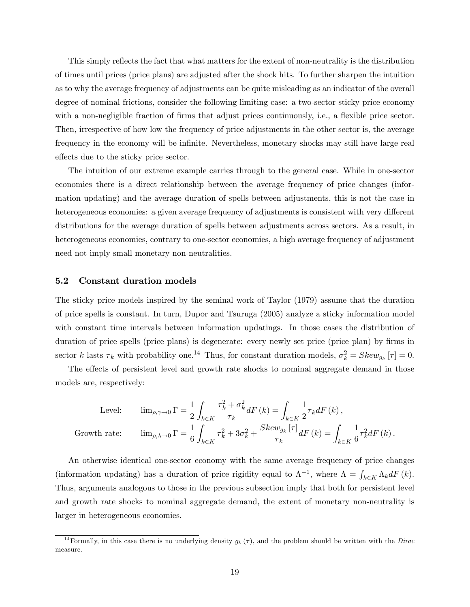This simply reflects the fact that what matters for the extent of non-neutrality is the distribution of times until prices (price plans) are adjusted after the shock hits. To further sharpen the intuition as to why the average frequency of adjustments can be quite misleading as an indicator of the overall degree of nominal frictions, consider the following limiting case: a two-sector sticky price economy with a non-negligible fraction of firms that adjust prices continuously, i.e., a flexible price sector. Then, irrespective of how low the frequency of price adjustments in the other sector is, the average frequency in the economy will be infinite. Nevertheless, monetary shocks may still have large real effects due to the sticky price sector.

The intuition of our extreme example carries through to the general case. While in one-sector economies there is a direct relationship between the average frequency of price changes (information updating) and the average duration of spells between adjustments, this is not the case in heterogeneous economies: a given average frequency of adjustments is consistent with very different distributions for the average duration of spells between adjustments across sectors. As a result, in heterogeneous economies, contrary to one-sector economies, a high average frequency of adjustment need not imply small monetary non-neutralities.

#### 5.2 Constant duration models

The sticky price models inspired by the seminal work of Taylor (1979) assume that the duration of price spells is constant. In turn, Dupor and Tsuruga (2005) analyze a sticky information model with constant time intervals between information updatings. In those cases the distribution of duration of price spells (price plans) is degenerate: every newly set price (price plan) by firms in sector k lasts  $\tau_k$  with probability one.<sup>14</sup> Thus, for constant duration models,  $\sigma_k^2 = Skew_{g_k}[\tau] = 0$ .

The effects of persistent level and growth rate shocks to nominal aggregate demand in those models are, respectively:

Level: 
$$
\lim_{\rho,\gamma\to 0} \Gamma = \frac{1}{2} \int_{k \in K} \frac{\tau_k^2 + \sigma_k^2}{\tau_k} dF(k) = \int_{k \in K} \frac{1}{2} \tau_k dF(k),
$$

\nGrowth rate: 
$$
\lim_{\rho,\lambda\to 0} \Gamma = \frac{1}{6} \int_{k \in K} \tau_k^2 + 3\sigma_k^2 + \frac{Skew_{g_k}[\tau]}{\tau_k} dF(k) = \int_{k \in K} \frac{1}{6} \tau_k^2 dF(k).
$$

An otherwise identical one-sector economy with the same average frequency of price changes (information updating) has a duration of price rigidity equal to  $\Lambda^{-1}$ , where  $\Lambda = \int_{k \in K} \Lambda_k dF(k)$ . Thus, arguments analogous to those in the previous subsection imply that both for persistent level and growth rate shocks to nominal aggregate demand, the extent of monetary non-neutrality is larger in heterogeneous economies.

<sup>&</sup>lt;sup>14</sup> Formally, in this case there is no underlying density  $g_k(\tau)$ , and the problem should be written with the Dirac measure.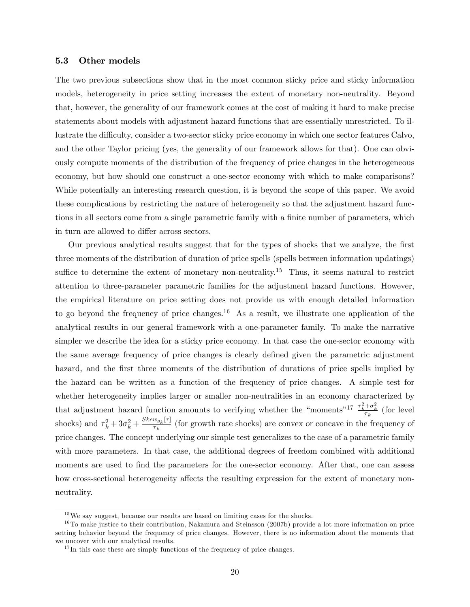#### 5.3 Other models

The two previous subsections show that in the most common sticky price and sticky information models, heterogeneity in price setting increases the extent of monetary non-neutrality. Beyond that, however, the generality of our framework comes at the cost of making it hard to make precise statements about models with adjustment hazard functions that are essentially unrestricted. To illustrate the difficulty, consider a two-sector sticky price economy in which one sector features Calvo, and the other Taylor pricing (yes, the generality of our framework allows for that). One can obviously compute moments of the distribution of the frequency of price changes in the heterogeneous economy, but how should one construct a one-sector economy with which to make comparisons? While potentially an interesting research question, it is beyond the scope of this paper. We avoid these complications by restricting the nature of heterogeneity so that the adjustment hazard functions in all sectors come from a single parametric family with a finite number of parameters, which in turn are allowed to differ across sectors.

Our previous analytical results suggest that for the types of shocks that we analyze, the Örst three moments of the distribution of duration of price spells (spells between information updatings) suffice to determine the extent of monetary non-neutrality.<sup>15</sup> Thus, it seems natural to restrict attention to three-parameter parametric families for the adjustment hazard functions. However, the empirical literature on price setting does not provide us with enough detailed information to go beyond the frequency of price changes.<sup>16</sup> As a result, we illustrate one application of the analytical results in our general framework with a one-parameter family. To make the narrative simpler we describe the idea for a sticky price economy. In that case the one-sector economy with the same average frequency of price changes is clearly defined given the parametric adjustment hazard, and the first three moments of the distribution of durations of price spells implied by the hazard can be written as a function of the frequency of price changes. A simple test for whether heterogeneity implies larger or smaller non-neutralities in an economy characterized by that adjustment hazard function amounts to verifying whether the "moments"<sup>17</sup>  $\frac{\tau_k^2 + \sigma_k^2}{\tau_k}$  (for level shocks) and  $\tau_k^2 + 3\sigma_k^2 + \frac{Skew_{g_k}[\tau]}{\tau_k}$  $\frac{w_{g_k|U_1}}{\tau_k}$  (for growth rate shocks) are convex or concave in the frequency of price changes. The concept underlying our simple test generalizes to the case of a parametric family with more parameters. In that case, the additional degrees of freedom combined with additional moments are used to find the parameters for the one-sector economy. After that, one can assess how cross-sectional heterogeneity affects the resulting expression for the extent of monetary nonneutrality.

 $^{15}\mathrm{We}$  say suggest, because our results are based on limiting cases for the shocks.

 $16$ To make justice to their contribution, Nakamura and Steinsson (2007b) provide a lot more information on price setting behavior beyond the frequency of price changes. However, there is no information about the moments that we uncover with our analytical results.

 $17$  In this case these are simply functions of the frequency of price changes.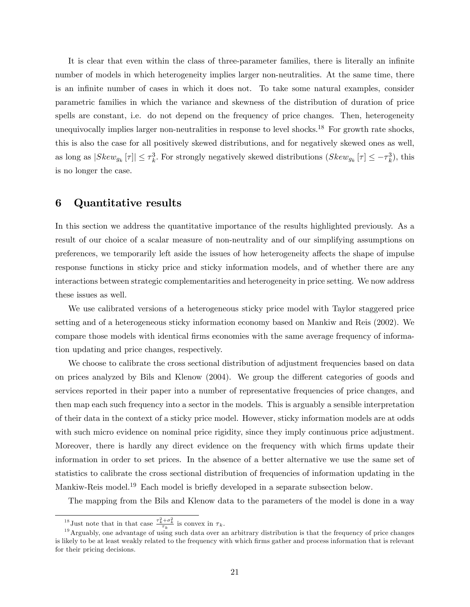It is clear that even within the class of three-parameter families, there is literally an infinite number of models in which heterogeneity implies larger non-neutralities. At the same time, there is an infinite number of cases in which it does not. To take some natural examples, consider parametric families in which the variance and skewness of the distribution of duration of price spells are constant, i.e. do not depend on the frequency of price changes. Then, heterogeneity unequivocally implies larger non-neutralities in response to level shocks.<sup>18</sup> For growth rate shocks, this is also the case for all positively skewed distributions, and for negatively skewed ones as well, as long as  $|Skew_{g_k}[\tau]|\leq \tau_k^3$ . For strongly negatively skewed distributions  $(Skew_{g_k}[\tau] \leq -\tau_k^3)$ , this is no longer the case.

### 6 Quantitative results

In this section we address the quantitative importance of the results highlighted previously. As a result of our choice of a scalar measure of non-neutrality and of our simplifying assumptions on preferences, we temporarily left aside the issues of how heterogeneity affects the shape of impulse response functions in sticky price and sticky information models, and of whether there are any interactions between strategic complementarities and heterogeneity in price setting. We now address these issues as well.

We use calibrated versions of a heterogeneous sticky price model with Taylor staggered price setting and of a heterogeneous sticky information economy based on Mankiw and Reis (2002). We compare those models with identical firms economies with the same average frequency of information updating and price changes, respectively.

We choose to calibrate the cross sectional distribution of adjustment frequencies based on data on prices analyzed by Bils and Klenow (2004). We group the different categories of goods and services reported in their paper into a number of representative frequencies of price changes, and then map each such frequency into a sector in the models. This is arguably a sensible interpretation of their data in the context of a sticky price model. However, sticky information models are at odds with such micro evidence on nominal price rigidity, since they imply continuous price adjustment. Moreover, there is hardly any direct evidence on the frequency with which firms update their information in order to set prices. In the absence of a better alternative we use the same set of statistics to calibrate the cross sectional distribution of frequencies of information updating in the Mankiw-Reis model.<sup>19</sup> Each model is briefly developed in a separate subsection below.

The mapping from the Bils and Klenow data to the parameters of the model is done in a way

<sup>&</sup>lt;sup>18</sup> Just note that in that case  $\frac{\tau_k^2 + \sigma_k^2}{\tau_k}$  is convex in  $\tau_k$ .

 $19$  Arguably, one advantage of using such data over an arbitrary distribution is that the frequency of price changes is likely to be at least weakly related to the frequency with which firms gather and process information that is relevant for their pricing decisions.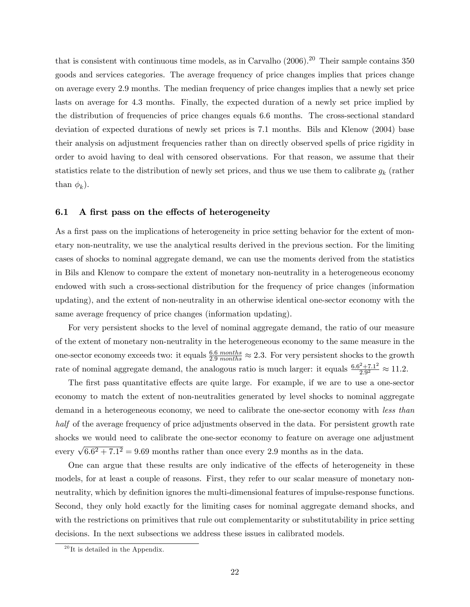that is consistent with continuous time models, as in Carvalho (2006).<sup>20</sup> Their sample contains 350 goods and services categories. The average frequency of price changes implies that prices change on average every 2:9 months. The median frequency of price changes implies that a newly set price lasts on average for 4:3 months. Finally, the expected duration of a newly set price implied by the distribution of frequencies of price changes equals 6:6 months. The cross-sectional standard deviation of expected durations of newly set prices is 7:1 months. Bils and Klenow (2004) base their analysis on adjustment frequencies rather than on directly observed spells of price rigidity in order to avoid having to deal with censored observations. For that reason, we assume that their statistics relate to the distribution of newly set prices, and thus we use them to calibrate  $g_k$  (rather than  $\phi_k$ ).

#### 6.1 A first pass on the effects of heterogeneity

As a first pass on the implications of heterogeneity in price setting behavior for the extent of monetary non-neutrality, we use the analytical results derived in the previous section. For the limiting cases of shocks to nominal aggregate demand, we can use the moments derived from the statistics in Bils and Klenow to compare the extent of monetary non-neutrality in a heterogeneous economy endowed with such a cross-sectional distribution for the frequency of price changes (information updating), and the extent of non-neutrality in an otherwise identical one-sector economy with the same average frequency of price changes (information updating).

For very persistent shocks to the level of nominal aggregate demand, the ratio of our measure of the extent of monetary non-neutrality in the heterogeneous economy to the same measure in the one-sector economy exceeds two: it equals  $\frac{6.6 \text{ months}}{2.9 \text{ months}} \approx 2.3$ . For very persistent shocks to the growth rate of nominal aggregate demand, the analogous ratio is much larger: it equals  $\frac{6.6^2 + 7.1^2}{2.9^2}$  $\frac{2+7.1^2}{2.9^2} \approx 11.2.$ 

The first pass quantitative effects are quite large. For example, if we are to use a one-sector economy to match the extent of non-neutralities generated by level shocks to nominal aggregate demand in a heterogeneous economy, we need to calibrate the one-sector economy with less than half of the average frequency of price adjustments observed in the data. For persistent growth rate shocks we would need to calibrate the one-sector economy to feature on average one adjustment every  $\sqrt{6.6^2 + 7.1^2} = 9.69$  months rather than once every 2.9 months as in the data.

One can argue that these results are only indicative of the effects of heterogeneity in these models, for at least a couple of reasons. First, they refer to our scalar measure of monetary nonneutrality, which by definition ignores the multi-dimensional features of impulse-response functions. Second, they only hold exactly for the limiting cases for nominal aggregate demand shocks, and with the restrictions on primitives that rule out complementarity or substitutability in price setting decisions. In the next subsections we address these issues in calibrated models.

 $^{20}$  It is detailed in the Appendix.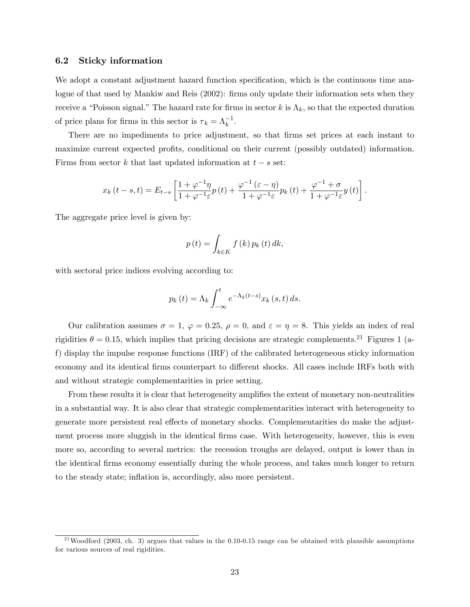#### 6.2 Sticky information

We adopt a constant adjustment hazard function specification, which is the continuous time analogue of that used by Mankiw and Reis (2002): firms only update their information sets when they receive a "Poisson signal." The hazard rate for firms in sector k is  $\Lambda_k$ , so that the expected duration of price plans for firms in this sector is  $\tau_k = \Lambda_k^{-1}$ .

There are no impediments to price adjustment, so that firms set prices at each instant to maximize current expected profits, conditional on their current (possibly outdated) information. Firms from sector k that last updated information at  $t - s$  set:

$$
x_k(t-s,t) = E_{t-s} \left[ \frac{1+\varphi^{-1}\eta}{1+\varphi^{-1}\varepsilon} p(t) + \frac{\varphi^{-1}(\varepsilon-\eta)}{1+\varphi^{-1}\varepsilon} p_k(t) + \frac{\varphi^{-1}+\sigma}{1+\varphi^{-1}\varepsilon} y(t) \right].
$$

The aggregate price level is given by:

$$
p(t) = \int_{k \in K} f(k) p_k(t) dk,
$$

with sectoral price indices evolving according to:

$$
p_k(t) = \Lambda_k \int_{-\infty}^t e^{-\Lambda_k(t-s)} x_k(s,t) ds.
$$

Our calibration assumes  $\sigma = 1$ ,  $\varphi = 0.25$ ,  $\rho = 0$ , and  $\varepsilon = \eta = 8$ . This yields an index of real rigidities  $\theta = 0.15$ , which implies that pricing decisions are strategic complements.<sup>21</sup> Figures 1 (af) display the impulse response functions (IRF) of the calibrated heterogeneous sticky information economy and its identical firms counterpart to different shocks. All cases include IRFs both with and without strategic complementarities in price setting.

From these results it is clear that heterogeneity amplifies the extent of monetary non-neutralities in a substantial way. It is also clear that strategic complementarities interact with heterogeneity to generate more persistent real effects of monetary shocks. Complementarities do make the adjustment process more sluggish in the identical firms case. With heterogeneity, however, this is even more so, according to several metrics: the recession troughs are delayed, output is lower than in the identical Örms economy essentially during the whole process, and takes much longer to return to the steady state; inflation is, accordingly, also more persistent.

<sup>&</sup>lt;sup>21</sup> Woodford (2003, ch. 3) argues that values in the 0.10-0.15 range can be obtained with plausible assumptions for various sources of real rigidities.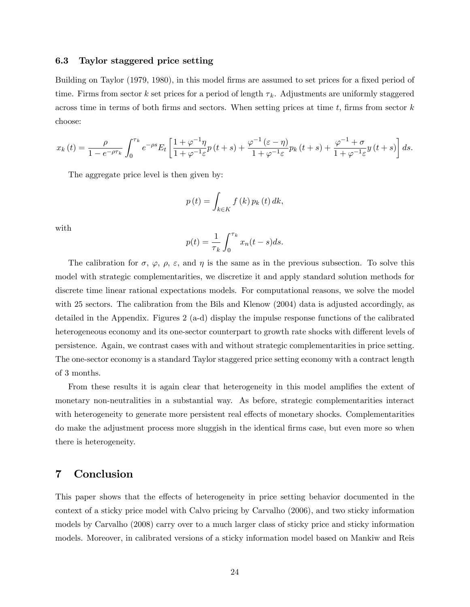#### 6.3 Taylor staggered price setting

Building on Taylor (1979, 1980), in this model firms are assumed to set prices for a fixed period of time. Firms from sector k set prices for a period of length  $\tau_k$ . Adjustments are uniformly staggered across time in terms of both firms and sectors. When setting prices at time t, firms from sector  $k$ choose:

$$
x_k(t) = \frac{\rho}{1 - e^{-\rho \tau_k}} \int_0^{\tau_k} e^{-\rho s} E_t \left[ \frac{1 + \varphi^{-1} \eta}{1 + \varphi^{-1} \varepsilon} p(t+s) + \frac{\varphi^{-1}(\varepsilon - \eta)}{1 + \varphi^{-1} \varepsilon} p_k(t+s) + \frac{\varphi^{-1} + \sigma}{1 + \varphi^{-1} \varepsilon} y(t+s) \right] ds.
$$

The aggregate price level is then given by:

$$
p(t) = \int_{k \in K} f(k) p_k(t) dk,
$$

with

$$
p(t) = \frac{1}{\tau_k} \int_0^{\tau_k} x_n(t-s)ds.
$$

The calibration for  $\sigma$ ,  $\varphi$ ,  $\rho$ ,  $\varepsilon$ , and  $\eta$  is the same as in the previous subsection. To solve this model with strategic complementarities, we discretize it and apply standard solution methods for discrete time linear rational expectations models. For computational reasons, we solve the model with 25 sectors. The calibration from the Bils and Klenow (2004) data is adjusted accordingly, as detailed in the Appendix. Figures 2 (a-d) display the impulse response functions of the calibrated heterogeneous economy and its one-sector counterpart to growth rate shocks with different levels of persistence. Again, we contrast cases with and without strategic complementarities in price setting. The one-sector economy is a standard Taylor staggered price setting economy with a contract length of 3 months.

From these results it is again clear that heterogeneity in this model amplifies the extent of monetary non-neutralities in a substantial way. As before, strategic complementarities interact with heterogeneity to generate more persistent real effects of monetary shocks. Complementarities do make the adjustment process more sluggish in the identical firms case, but even more so when there is heterogeneity.

### 7 Conclusion

This paper shows that the effects of heterogeneity in price setting behavior documented in the context of a sticky price model with Calvo pricing by Carvalho (2006), and two sticky information models by Carvalho (2008) carry over to a much larger class of sticky price and sticky information models. Moreover, in calibrated versions of a sticky information model based on Mankiw and Reis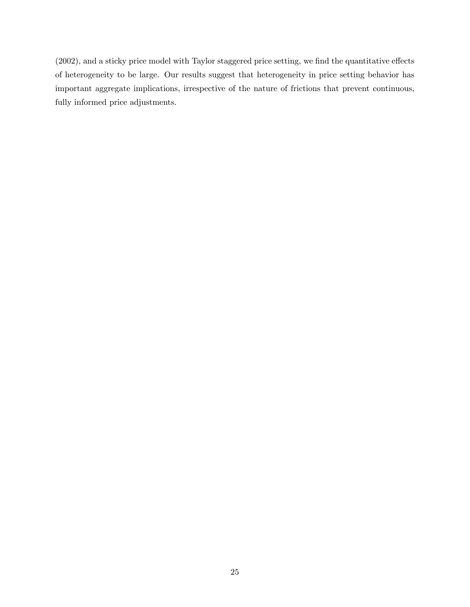$(2002)$ , and a sticky price model with Taylor staggered price setting, we find the quantitative effects of heterogeneity to be large. Our results suggest that heterogeneity in price setting behavior has important aggregate implications, irrespective of the nature of frictions that prevent continuous, fully informed price adjustments.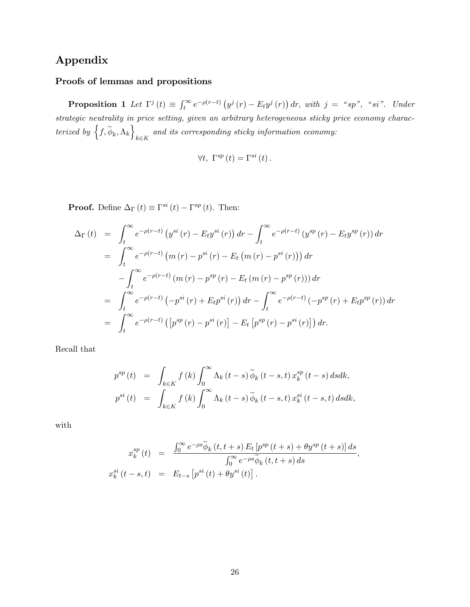## Appendix

### Proofs of lemmas and propositions

**Proposition 1** Let  $\Gamma^j(t) \equiv \int_t^{\infty} e^{-\rho(r-t)} (y^j(r) - E_t y^j(r)) dr$ , with  $j = \alpha s p$ ,  $\alpha s i$ . Under strategic neutrality in price setting, given an arbitrary heterogeneous sticky price economy characterized by  $\left\{f, \widetilde{\phi}_k, \Lambda_k\right\}$  $k \in K$ and its corresponding sticky information economy:

$$
\forall t, \ \Gamma^{sp}(t) = \Gamma^{si}(t).
$$

**Proof.** Define  $\Delta_{\Gamma}(t) \equiv \Gamma^{si}(t) - \Gamma^{sp}(t)$ . Then:

$$
\Delta_{\Gamma}(t) = \int_{t}^{\infty} e^{-\rho(r-t)} \left( y^{si}(r) - E_{t} y^{si}(r) \right) dr - \int_{t}^{\infty} e^{-\rho(r-t)} \left( y^{sp}(r) - E_{t} y^{sp}(r) \right) dr
$$
  
\n
$$
= \int_{t}^{\infty} e^{-\rho(r-t)} \left( m(r) - p^{si}(r) - E_{t} \left( m(r) - p^{si}(r) \right) \right) dr
$$
  
\n
$$
- \int_{t}^{\infty} e^{-\rho(r-t)} \left( m(r) - p^{sp}(r) - E_{t} \left( m(r) - p^{sp}(r) \right) \right) dr
$$
  
\n
$$
= \int_{t}^{\infty} e^{-\rho(r-t)} \left( -p^{si}(r) + E_{t} p^{si}(r) \right) dr - \int_{t}^{\infty} e^{-\rho(r-t)} \left( -p^{sp}(r) + E_{t} p^{sp}(r) \right) dr
$$
  
\n
$$
= \int_{t}^{\infty} e^{-\rho(r-t)} \left( \left[ p^{sp}(r) - p^{si}(r) \right] - E_{t} \left[ p^{sp}(r) - p^{si}(r) \right] \right) dr.
$$

Recall that

$$
p^{sp}(t) = \int_{k \in K} f(k) \int_0^{\infty} \Lambda_k(t-s) \widetilde{\phi}_k(t-s,t) x_k^{sp}(t-s) ds dk,
$$
  

$$
p^{si}(t) = \int_{k \in K} f(k) \int_0^{\infty} \Lambda_k(t-s) \widetilde{\phi}_k(t-s,t) x_k^{si}(t-s,t) ds dk,
$$

with

$$
x_k^{sp}(t) = \frac{\int_0^\infty e^{-\rho s} \widetilde{\phi}_k(t, t+s) E_t \left[ p^{sp}(t+s) + \theta y^{sp}(t+s) \right] ds}{\int_0^\infty e^{-\rho s} \widetilde{\phi}_k(t, t+s) ds},
$$
  

$$
x_k^{si}(t-s,t) = E_{t-s} \left[ p^{si}(t) + \theta y^{si}(t) \right].
$$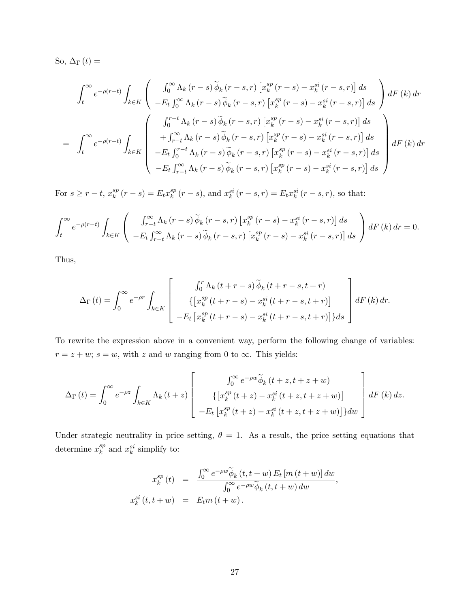So,  $\Delta_{\Gamma}(t) =$ 

$$
\int_{t}^{\infty} e^{-\rho(r-t)} \int_{k \in K} \left( \int_{0}^{\infty} \Lambda_{k}(r-s) \widetilde{\phi}_{k}(r-s,r) \left[ x_{k}^{sp}(r-s) - x_{k}^{si}(r-s,r) \right] ds \right) dF(k) dr
$$
\n
$$
= \int_{t}^{\infty} e^{-\rho(r-t)} \int_{k \in K} \left( \int_{0}^{r-t} \Lambda_{k}(r-s) \widetilde{\phi}_{k}(r-s,r) \left[ x_{k}^{sp}(r-s) - x_{k}^{si}(r-s,r) \right] ds \right) dF(k) dr
$$
\n
$$
= \int_{t}^{\infty} e^{-\rho(r-t)} \int_{k \in K} \left( \int_{0}^{r-t} \Lambda_{k}(r-s) \widetilde{\phi}_{k}(r-s,r) \left[ x_{k}^{sp}(r-s) - x_{k}^{si}(r-s,r) \right] ds \right) dF(k) dr
$$
\n
$$
-E_{t} \int_{r-t}^{r-t} \Lambda_{k}(r-s) \widetilde{\phi}_{k}(r-s,r) \left[ x_{k}^{sp}(r-s) - x_{k}^{si}(r-s,r) \right] ds
$$
\n
$$
-E_{t} \int_{r-t}^{\infty} \Lambda_{k}(r-s) \widetilde{\phi}_{k}(r-s,r) \left[ x_{k}^{sp}(r-s) - x_{k}^{si}(r-s,r) \right] ds
$$

For  $s \geq r - t$ ,  $x_k^{sp}$  $k^{sp}(r-s) = E_t x_k^{sp}$  $\int_{k}^{sp} (r - s)$ , and  $x_{k}^{si} (r - s, r) = E_{t} x_{k}^{si} (r - s, r)$ , so that:

$$
\int_{t}^{\infty} e^{-\rho(r-t)} \int_{k \in K} \left( \int_{r-t}^{\infty} \Lambda_{k} (r-s) \widetilde{\phi}_{k} (r-s,r) \left[ x_{k}^{sp} (r-s) - x_{k}^{si} (r-s,r) \right] ds - E_{t} \int_{r-t}^{\infty} \Lambda_{k} (r-s) \widetilde{\phi}_{k} (r-s,r) \left[ x_{k}^{sp} (r-s) - x_{k}^{si} (r-s,r) \right] ds \right) dF(k) dr = 0.
$$

Thus,

$$
\Delta_{\Gamma}(t) = \int_0^{\infty} e^{-\rho r} \int_{k \in K} \left[ \begin{array}{c} \int_0^r \Lambda_k(t+r-s) \, \widetilde{\phi}_k(t+r-s,t+r) \\ \left\{ \left[ x_k^{sp}(t+r-s) - x_k^{si}(t+r-s,t+r) \right] \\ -E_t \left[ x_k^{sp}(t+r-s) - x_k^{si}(t+r-s,t+r) \right] \right\} ds \end{array} \right] dF(k) dr.
$$

To rewrite the expression above in a convenient way, perform the following change of variables:  $r = z + w$ ;  $s = w$ , with z and w ranging from 0 to  $\infty$ . This yields:

$$
\Delta_{\Gamma}(t) = \int_0^{\infty} e^{-\rho z} \int_{k \in K} \Lambda_k(t+z) \left[ \begin{array}{c} \int_0^{\infty} e^{-\rho w} \widetilde{\phi}_k(t+z, t+z+w) \\ \left\{ \left[ x_k^{sp}(t+z) - x_k^{si}(t+z, t+z+w) \right] \\ -E_t \left[ x_k^{sp}(t+z) - x_k^{si}(t+z, t+z+w) \right] \right\} dw \end{array} \right] dF(k) dz.
$$

Under strategic neutrality in price setting,  $\theta = 1$ . As a result, the price setting equations that determine  $x_k^{sp}$  $_k^{sp}$  and  $x_k^{si}$  simplify to:

$$
x_k^{sp}(t) = \frac{\int_0^\infty e^{-\rho w} \widetilde{\phi}_k(t, t+w) E_t [m(t+w)] dw}{\int_0^\infty e^{-\rho w} \widetilde{\phi}_k(t, t+w) dw},
$$
  

$$
x_k^{si}(t, t+w) = E_t m(t+w).
$$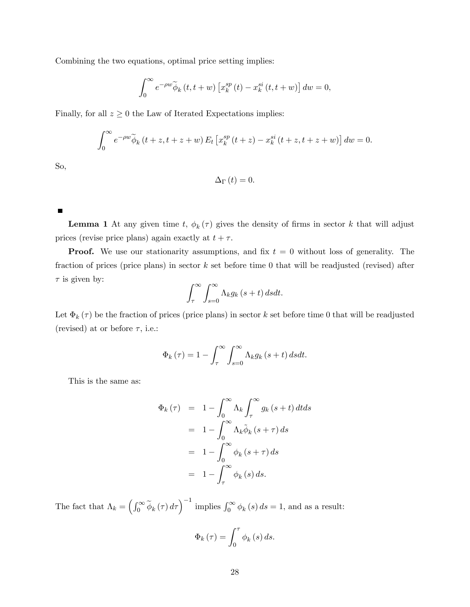Combining the two equations, optimal price setting implies:

$$
\int_0^\infty e^{-\rho w} \widetilde{\phi}_k(t, t+w) \left[ x_k^{sp}(t) - x_k^{si}(t, t+w) \right] dw = 0,
$$

Finally, for all  $z \geq 0$  the Law of Iterated Expectations implies:

$$
\int_0^\infty e^{-\rho w} \widetilde{\phi}_k(t+z, t+z+w) E_t \left[ x_k^{sp}(t+z) - x_k^{si}(t+z, t+z+w) \right] dw = 0.
$$

So,

$$
\Delta_{\Gamma}\left( t\right) =0.
$$

 $\blacksquare$ 

**Lemma 1** At any given time t,  $\phi_k(\tau)$  gives the density of firms in sector k that will adjust prices (revise price plans) again exactly at  $t + \tau$ .

**Proof.** We use our stationarity assumptions, and fix  $t = 0$  without loss of generality. The fraction of prices (price plans) in sector  $k$  set before time 0 that will be readjusted (revised) after  $\tau$  is given by:

$$
\int_{\tau}^{\infty} \int_{s=0}^{\infty} \Lambda_k g_k(s+t) ds dt.
$$

Let  $\Phi_k(\tau)$  be the fraction of prices (price plans) in sector k set before time 0 that will be readjusted (revised) at or before  $\tau$ , i.e.:

$$
\Phi_{k}(\tau) = 1 - \int_{\tau}^{\infty} \int_{s=0}^{\infty} \Lambda_{k} g_{k}(s+t) ds dt.
$$

This is the same as:

$$
\Phi_{k}(\tau) = 1 - \int_{0}^{\infty} \Lambda_{k} \int_{\tau}^{\infty} g_{k}(s+t) dt ds
$$

$$
= 1 - \int_{0}^{\infty} \Lambda_{k} \tilde{\phi}_{k}(s+\tau) ds
$$

$$
= 1 - \int_{0}^{\infty} \phi_{k}(s+\tau) ds
$$

$$
= 1 - \int_{\tau}^{\infty} \phi_{k}(s) ds.
$$

The fact that  $\Lambda_k = \left(\int_0^\infty \widetilde{\phi}_k(\tau) d\tau\right)^{-1}$  implies  $\int_0^\infty \phi_k(s) ds = 1$ , and as a result:

$$
\Phi_{k}\left(\tau\right) = \int_{0}^{\tau} \phi_{k}\left(s\right) ds.
$$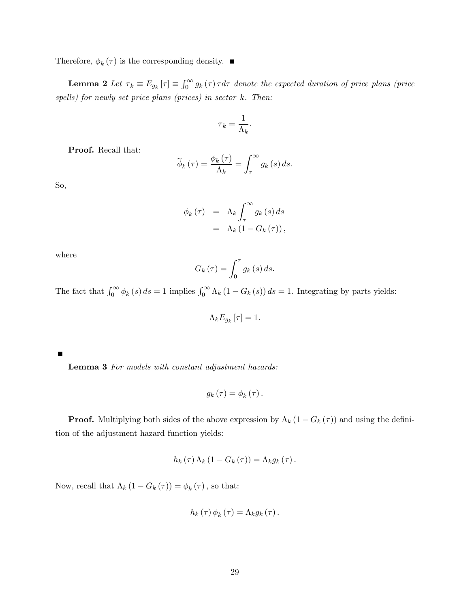Therefore,  $\phi_k(\tau)$  is the corresponding density.

**Lemma 2** Let  $\tau_k \equiv E_{g_k}[\tau] \equiv \int_0^\infty g_k(\tau) \tau d\tau$  denote the expected duration of price plans (price spells) for newly set price plans (prices) in sector  $k$ . Then:

$$
\tau_k = \frac{1}{\Lambda_k}.
$$

Proof. Recall that:

$$
\widetilde{\phi}_{k}(\tau) = \frac{\phi_{k}(\tau)}{\Lambda_{k}} = \int_{\tau}^{\infty} g_{k}(s) ds.
$$

So,

$$
\begin{array}{rcl}\n\phi_k(\tau) & = & \Lambda_k \int_{\tau}^{\infty} g_k(s) \, ds \\
& = & \Lambda_k \left( 1 - G_k(\tau) \right),\n\end{array}
$$

where

$$
G_k(\tau) = \int_0^{\tau} g_k(s) \, ds.
$$

The fact that  $\int_0^\infty \phi_k(s) ds = 1$  implies  $\int_0^\infty \Lambda_k(1 - G_k(s)) ds = 1$ . Integrating by parts yields:

$$
\Lambda_k E_{g_k}\left[\tau\right] = 1.
$$

Lemma 3 For models with constant adjustment hazards:

$$
g_{k}\left( \tau\right) =\phi_{k}\left( \tau\right) .
$$

**Proof.** Multiplying both sides of the above expression by  $\Lambda_k (1 - G_k(\tau))$  and using the definition of the adjustment hazard function yields:

$$
h_k(\tau)\Lambda_k(1-G_k(\tau))=\Lambda_k g_k(\tau).
$$

Now, recall that  $\Lambda_k (1 - G_k(\tau)) = \phi_k(\tau)$ , so that:

$$
h_{k}(\tau)\phi_{k}(\tau)=\Lambda_{k}g_{k}(\tau).
$$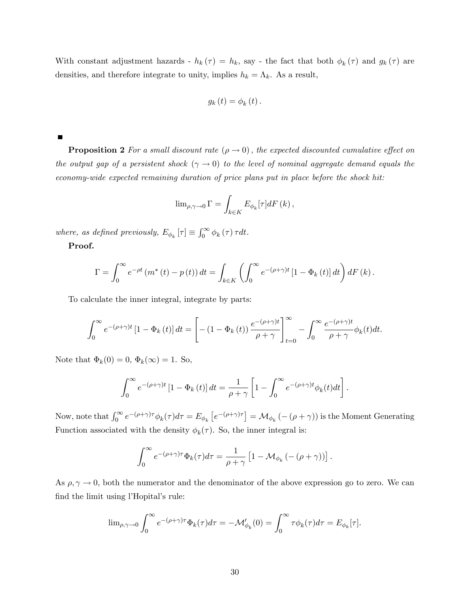With constant adjustment hazards -  $h_k(\tau) = h_k$ , say - the fact that both  $\phi_k(\tau)$  and  $g_k(\tau)$  are densities, and therefore integrate to unity, implies  $h_k = \Lambda_k$ . As a result,

$$
g_{k}(t)=\phi_{k}(t).
$$

 $\blacksquare$ 

**Proposition 2** For a small discount rate  $(\rho \to 0)$ , the expected discounted cumulative effect on the output gap of a persistent shock  $(\gamma \to 0)$  to the level of nominal aggregate demand equals the economy-wide expected remaining duration of price plans put in place before the shock hit:

$$
\lim\nolimits_{\rho,\gamma\to0}\Gamma=\int_{k\in K}E_{\phi_{k}}[\tau]dF\left(k\right),
$$

where, as defined previously,  $E_{\phi_k}[\tau] \equiv \int_0^\infty \phi_k(\tau) \tau dt$ .

Proof.

$$
\Gamma = \int_0^\infty e^{-\rho t} \left( m^*(t) - p(t) \right) dt = \int_{k \in K} \left( \int_0^\infty e^{-(\rho + \gamma)t} \left[ 1 - \Phi_k(t) \right] dt \right) dF(k).
$$

To calculate the inner integral, integrate by parts:

$$
\int_0^\infty e^{-(\rho+\gamma)t} \left[1 - \Phi_k(t)\right] dt = \left[ -\left(1 - \Phi_k(t)\right) \frac{e^{-(\rho+\gamma)t}}{\rho+\gamma} \right]_{t=0}^\infty - \int_0^\infty \frac{e^{-(\rho+\gamma)t}}{\rho+\gamma} \phi_k(t) dt.
$$

Note that  $\Phi_k(0) = 0, \Phi_k(\infty) = 1$ . So,

$$
\int_0^\infty e^{-(\rho+\gamma)t} \left[1 - \Phi_k(t)\right] dt = \frac{1}{\rho+\gamma} \left[1 - \int_0^\infty e^{-(\rho+\gamma)t} \phi_k(t) dt\right].
$$

Now, note that  $\int_0^\infty e^{-(\rho+\gamma)\tau} \phi_k(\tau) d\tau = E_{\phi_k} \left[ e^{-(\rho+\gamma)\tau} \right] = \mathcal{M}_{\phi_k} \left( -(\rho+\gamma) \right)$  is the Moment Generating Function associated with the density  $\phi_k(\tau)$ . So, the inner integral is:

$$
\int_0^\infty e^{-(\rho+\gamma)\tau} \Phi_k(\tau) d\tau = \frac{1}{\rho+\gamma} \left[1 - \mathcal{M}_{\phi_k}(-(\rho+\gamma))\right].
$$

As  $\rho, \gamma \to 0$ , both the numerator and the denominator of the above expression go to zero. We can find the limit using l'Hopital's rule:

$$
\lim_{\rho,\gamma\to 0}\int_0^\infty e^{-(\rho+\gamma)\tau}\Phi_k(\tau)d\tau=-\mathcal{M}_{\phi_k}'(0)=\int_0^\infty \tau\phi_k(\tau)d\tau=E_{\phi_k}[\tau].
$$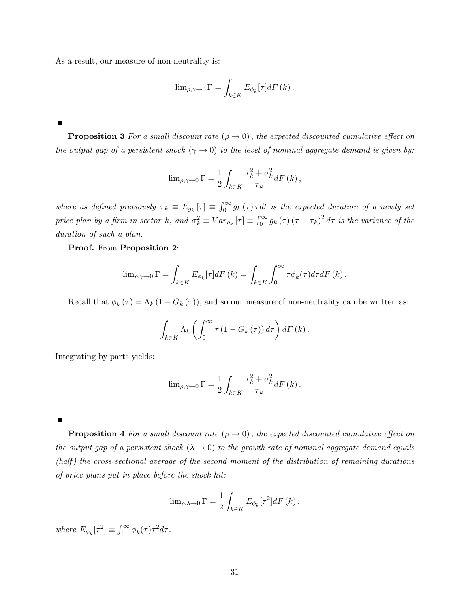As a result, our measure of non-neutrality is:

$$
\lim_{\rho,\gamma\to 0} \Gamma = \int_{k \in K} E_{\phi_k}[\tau] dF(k).
$$

**Proposition 3** For a small discount rate  $(\rho \to 0)$ , the expected discounted cumulative effect on the output gap of a persistent shock  $(\gamma \to 0)$  to the level of nominal aggregate demand is given by:

$$
\lim_{\rho,\gamma \to 0} \Gamma = \frac{1}{2} \int_{k \in K} \frac{\tau_k^2 + \sigma_k^2}{\tau_k} dF(k),
$$

where as defined previously  $\tau_k \equiv E_{g_k}[\tau] \equiv \int_0^\infty g_k(\tau) \tau dt$  is the expected duration of a newly set price plan by a firm in sector k, and  $\sigma_k^2 \equiv Var_{g_k}[\tau] \equiv \int_0^\infty g_k(\tau) (\tau - \tau_k)^2 d\tau$  is the variance of the duration of such a plan.

Proof. From Proposition 2:

$$
\lim_{\rho,\gamma\to 0} \Gamma = \int_{k \in K} E_{\phi_k}[\tau] dF(k) = \int_{k \in K} \int_0^\infty \tau \phi_k(\tau) d\tau dF(k).
$$

Recall that  $\phi_k(\tau) = \Lambda_k (1 - G_k(\tau))$ , and so our measure of non-neutrality can be written as:

$$
\int_{k\in K} \Lambda_k \left( \int_0^\infty \tau \left(1-G_k\left(\tau\right)\right) d\tau \right) dF\left(k\right).
$$

Integrating by parts yields:

$$
\lim_{\rho,\gamma \to 0} \Gamma = \frac{1}{2} \int_{k \in K} \frac{\tau_k^2 + \sigma_k^2}{\tau_k} dF(k).
$$

**Proposition 4** For a small discount rate  $(\rho \to 0)$ , the expected discounted cumulative effect on the output gap of a persistent shock  $(\lambda \to 0)$  to the growth rate of nominal aggregate demand equals  $(half)$  the cross-sectional average of the second moment of the distribution of remaining durations of price plans put in place before the shock hit:

$$
\lim_{\rho,\lambda\to 0} \Gamma = \frac{1}{2} \int_{k \in K} E_{\phi_k}[\tau^2] dF(k),
$$

where  $E_{\phi_k}[\tau^2] \equiv \int_0^\infty \phi_k(\tau) \tau^2 d\tau$ .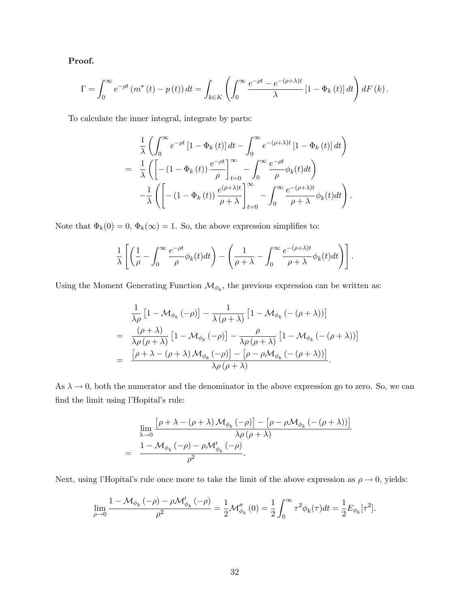#### Proof.

$$
\Gamma = \int_0^\infty e^{-\rho t} \left( m^*(t) - p(t) \right) dt = \int_{k \in K} \left( \int_0^\infty \frac{e^{-\rho t} - e^{-(\rho + \lambda)t}}{\lambda} \left[ 1 - \Phi_k(t) \right] dt \right) dF(k).
$$

To calculate the inner integral, integrate by parts:

$$
\frac{1}{\lambda} \left( \int_0^\infty e^{-\rho t} \left[ 1 - \Phi_k(t) \right] dt - \int_0^\infty e^{-(\rho + \lambda)t} \left[ 1 - \Phi_k(t) \right] dt \right)
$$
\n
$$
= \frac{1}{\lambda} \left( \left[ - (1 - \Phi_k(t)) \frac{e^{-\rho t}}{\rho} \right]_{t=0}^\infty - \int_0^\infty \frac{e^{-\rho t}}{\rho} \phi_k(t) dt \right)
$$
\n
$$
- \frac{1}{\lambda} \left( \left[ - (1 - \Phi_k(t)) \frac{e^{(\rho + \lambda)t}}{\rho + \lambda} \right]_{t=0}^\infty - \int_0^\infty \frac{e^{-(\rho + \lambda)t}}{\rho + \lambda} \phi_k(t) dt \right).
$$

Note that  $\Phi_k(0) = 0$ ,  $\Phi_k(\infty) = 1$ . So, the above expression simplifies to:

$$
\frac{1}{\lambda} \left[ \left( \frac{1}{\rho} - \int_0^\infty \frac{e^{-\rho t}}{\rho} \phi_k(t) dt \right) - \left( \frac{1}{\rho + \lambda} - \int_0^\infty \frac{e^{-(\rho + \lambda)t}}{\rho + \lambda} \phi_k(t) dt \right) \right].
$$

Using the Moment Generating Function  $\mathcal{M}_{\phi_k}$ , the previous expression can be written as:

$$
\frac{1}{\lambda \rho} \left[ 1 - \mathcal{M}_{\phi_k} \left( -\rho \right) \right] - \frac{1}{\lambda \left( \rho + \lambda \right)} \left[ 1 - \mathcal{M}_{\phi_k} \left( -\left( \rho + \lambda \right) \right) \right]
$$
\n
$$
= \frac{\left( \rho + \lambda \right)}{\lambda \rho \left( \rho + \lambda \right)} \left[ 1 - \mathcal{M}_{\phi_k} \left( -\rho \right) \right] - \frac{\rho}{\lambda \rho \left( \rho + \lambda \right)} \left[ 1 - \mathcal{M}_{\phi_k} \left( -\left( \rho + \lambda \right) \right) \right]
$$
\n
$$
= \frac{\left[ \rho + \lambda - \left( \rho + \lambda \right) \mathcal{M}_{\phi_k} \left( -\rho \right) \right] - \left[ \rho - \rho \mathcal{M}_{\phi_k} \left( -\left( \rho + \lambda \right) \right) \right]}{\lambda \rho \left( \rho + \lambda \right)}.
$$

As  $\lambda \to 0$ , both the numerator and the denominator in the above expression go to zero. So, we can  $% \left\vert \cdot \right\vert$  find the limit using l'Hopital's rule:

$$
\lim_{\lambda \to 0} \frac{\left[\rho + \lambda - (\rho + \lambda) \mathcal{M}_{\phi_k}(-\rho)\right] - \left[\rho - \rho \mathcal{M}_{\phi_k}(-(\rho + \lambda))\right]}{\lambda \rho (\rho + \lambda)} \n= \frac{1 - \mathcal{M}_{\phi_k}(-\rho) - \rho \mathcal{M}_{\phi_k}'(-\rho)}{\rho^2}.
$$

Next, using l'Hopital's rule once more to take the limit of the above expression as  $\rho \to 0$ , yields:

$$
\lim_{\rho \to 0} \frac{1 - \mathcal{M}_{\phi_k}(-\rho) - \rho \mathcal{M}'_{\phi_k}(-\rho)}{\rho^2} = \frac{1}{2} \mathcal{M}_{\phi_k}''(0) = \frac{1}{2} \int_0^\infty \tau^2 \phi_k(\tau) dt = \frac{1}{2} E_{\phi_k}[\tau^2].
$$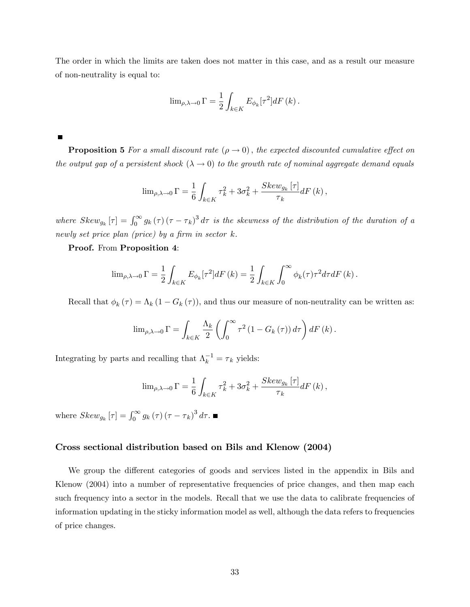The order in which the limits are taken does not matter in this case, and as a result our measure of non-neutrality is equal to:

$$
\lim_{\rho,\lambda\to 0} \Gamma = \frac{1}{2} \int_{k \in K} E_{\phi_k}[\tau^2] dF(k).
$$

 $\blacksquare$ 

**Proposition 5** For a small discount rate  $(\rho \to 0)$ , the expected discounted cumulative effect on the output gap of a persistent shock  $(\lambda \to 0)$  to the growth rate of nominal aggregate demand equals

$$
\lim_{\rho,\lambda\to 0} \Gamma = \frac{1}{6} \int_{k \in K} \tau_k^2 + 3\sigma_k^2 + \frac{Skew_{g_k}[\tau]}{\tau_k} dF(k),
$$

where  $Skew_{g_k}[\tau] = \int_0^\infty g_k(\tau) (\tau - \tau_k)^3 d\tau$  is the skewness of the distribution of the duration of a newly set price plan (price) by a firm in sector  $k$ .

#### Proof. From Proposition 4:

$$
\lim_{\rho,\lambda\to 0} \Gamma = \frac{1}{2} \int_{k \in K} E_{\phi_k}[\tau^2] dF(k) = \frac{1}{2} \int_{k \in K} \int_0^\infty \phi_k(\tau) \tau^2 d\tau dF(k).
$$

Recall that  $\phi_k(\tau) = \Lambda_k (1 - G_k(\tau))$ , and thus our measure of non-neutrality can be written as:

$$
\lim_{\rho,\lambda\to 0} \Gamma = \int_{k \in K} \frac{\Lambda_k}{2} \left( \int_0^\infty \tau^2 (1 - G_k(\tau)) d\tau \right) dF(k).
$$

Integrating by parts and recalling that  $\Lambda_k^{-1} = \tau_k$  yields:

$$
\lim_{\rho,\lambda\to 0} \Gamma = \frac{1}{6} \int_{k \in K} \tau_k^2 + 3\sigma_k^2 + \frac{Skew_{g_k}[\tau]}{\tau_k} dF(k),
$$

where  $Skew_{g_k}[\tau] = \int_0^\infty g_k(\tau) (\tau - \tau_k)^3 d\tau.$ 

#### Cross sectional distribution based on Bils and Klenow (2004)

We group the different categories of goods and services listed in the appendix in Bils and Klenow (2004) into a number of representative frequencies of price changes, and then map each such frequency into a sector in the models. Recall that we use the data to calibrate frequencies of information updating in the sticky information model as well, although the data refers to frequencies of price changes.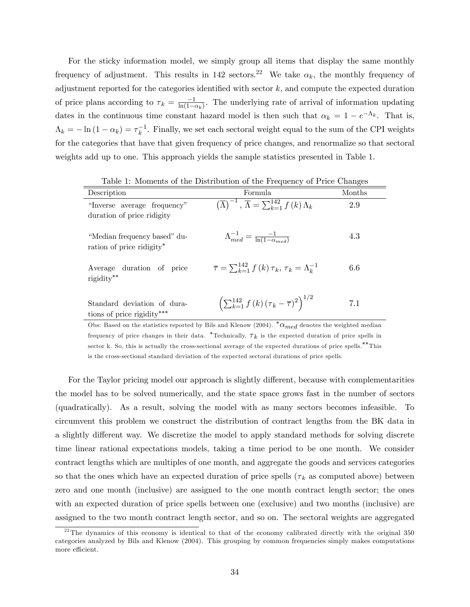For the sticky information model, we simply group all items that display the same monthly frequency of adjustment. This results in 142 sectors.<sup>22</sup> We take  $\alpha_k$ , the monthly frequency of adjustment reported for the categories identified with sector  $k$ , and compute the expected duration of price plans according to  $\tau_k = \frac{-1}{\ln(1 - \epsilon)}$  $\frac{-1}{\ln(1-\alpha_k)}$ . The underlying rate of arrival of information updating dates in the continuous time constant hazard model is then such that  $\alpha_k = 1 - e^{-\Lambda_k}$ . That is,  $\Lambda_k = -\ln(1 - \alpha_k) = \tau_k^{-1}$ . Finally, we set each sectoral weight equal to the sum of the CPI weights for the categories that have that given frequency of price changes, and renormalize so that sectoral weights add up to one. This approach yields the sample statistics presented in Table 1.

| Description                                               | Formula                                                                              | Months |
|-----------------------------------------------------------|--------------------------------------------------------------------------------------|--------|
| "Inverse average frequency"<br>duration of price ridigity | $(\overline{\Lambda})^{-1}$ , $\overline{\Lambda} = \sum_{k=1}^{142} f(k) \Lambda_k$ | 2.9    |
| "Median frequency based" du-<br>ration of price ridigity* | $\Lambda_{med}^{-1} = \frac{-1}{\ln(1-\alpha_{med})}$                                | 4.3    |
| Average duration of price<br>rigidity**                   | $\overline{\tau} = \sum_{k=1}^{142} f(k) \tau_k, \tau_k = \Lambda_k^{-1}$            | 6.6    |
| Standard deviation of dura-<br>tions of price rigidity*** | $\left(\sum_{k=1}^{142} f(k) (\tau_k - \overline{\tau})^2\right)^{1/2}$              | 7.1    |
|                                                           | $(0.11 \t{F}^{11} \t{F}^{11})$ $(0.001)^*$ $(0.001)^*$                               |        |

Table 1: Moments of the Distribution of the Frequency of Price Changes

Obs: Based on the statistics reported by Bils and Klenow (2004).  ${}^*\alpha_{med}$  denotes the weighted median frequency of price changes in their data. \*Technically,  $\tau_k$  is the expected duration of price spells in sector k. So, this is actually the cross-sectional average of the expected durations of price spells.\*\*This is the cross-sectional standard deviation of the expected sectoral durations of price spells.

For the Taylor pricing model our approach is slightly different, because with complementarities the model has to be solved numerically, and the state space grows fast in the number of sectors (quadratically). As a result, solving the model with as many sectors becomes infeasible. To circumvent this problem we construct the distribution of contract lengths from the BK data in a slightly different way. We discretize the model to apply standard methods for solving discrete time linear rational expectations models, taking a time period to be one month. We consider contract lengths which are multiples of one month, and aggregate the goods and services categories so that the ones which have an expected duration of price spells ( $\tau_k$  as computed above) between zero and one month (inclusive) are assigned to the one month contract length sector; the ones with an expected duration of price spells between one (exclusive) and two months (inclusive) are assigned to the two month contract length sector, and so on. The sectoral weights are aggregated

<sup>&</sup>lt;sup>22</sup>The dynamics of this economy is identical to that of the economy calibrated directly with the original 350 categories analyzed by Bils and Klenow (2004). This grouping by common frequencies simply makes computations more efficient.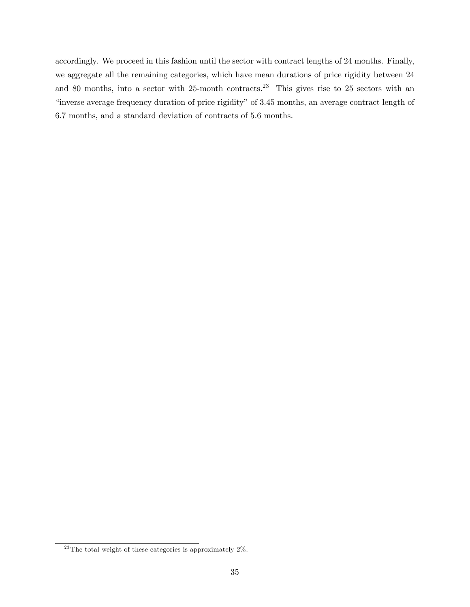accordingly. We proceed in this fashion until the sector with contract lengths of 24 months. Finally, we aggregate all the remaining categories, which have mean durations of price rigidity between 24 and 80 months, into a sector with  $25$ -month contracts.<sup>23</sup> This gives rise to 25 sectors with an "inverse average frequency duration of price rigidity" of 3.45 months, an average contract length of 6:7 months, and a standard deviation of contracts of 5:6 months.

 $^{23}$ The total weight of these categories is approximately 2%.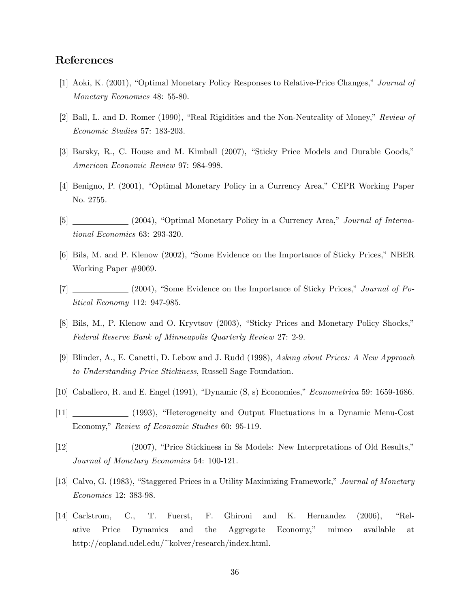### References

- [1] Aoki, K. (2001), "Optimal Monetary Policy Responses to Relative-Price Changes," Journal of Monetary Economics 48: 55-80.
- [2] Ball, L. and D. Romer (1990), "Real Rigidities and the Non-Neutrality of Money," Review of Economic Studies 57: 183-203.
- [3] Barsky, R., C. House and M. Kimball (2007), "Sticky Price Models and Durable Goods," American Economic Review 97: 984-998.
- [4] Benigno, P. (2001), "Optimal Monetary Policy in a Currency Area," CEPR Working Paper No. 2755.
- $[5]$  (2004), "Optimal Monetary Policy in a Currency Area," *Journal of Interna*tional Economics 63: 293-320.
- [6] Bils, M. and P. Klenow (2002), "Some Evidence on the Importance of Sticky Prices," NBER Working Paper #9069.
- $[7]$  (2004), "Some Evidence on the Importance of Sticky Prices," *Journal of Po*litical Economy 112: 947-985.
- [8] Bils, M., P. Klenow and O. Kryvtsov (2003), "Sticky Prices and Monetary Policy Shocks," Federal Reserve Bank of Minneapolis Quarterly Review 27: 2-9.
- [9] Blinder, A., E. Canetti, D. Lebow and J. Rudd (1998), Asking about Prices: A New Approach to Understanding Price Stickiness, Russell Sage Foundation.
- [10] Caballero, R. and E. Engel (1991), "Dynamic  $(S, s)$  Economies," *Econometrica* 59: 1659-1686.
- [11] (1993), "Heterogeneity and Output Fluctuations in a Dynamic Menu-Cost Economy," Review of Economic Studies 60: 95-119.
- [12] (2007), "Price Stickiness in Ss Models: New Interpretations of Old Results," Journal of Monetary Economics 54: 100-121.
- [13] Calvo, G. (1983), "Staggered Prices in a Utility Maximizing Framework," Journal of Monetary Economics 12: 383-98.
- $[14]$  Carlstrom, C., T. Fuerst, F. Ghironi and K. Hernandez  $(2006)$ , "Relative Price Dynamics and the Aggregate Economy," mimeo available at http://copland.udel.edu/~kolver/research/index.html.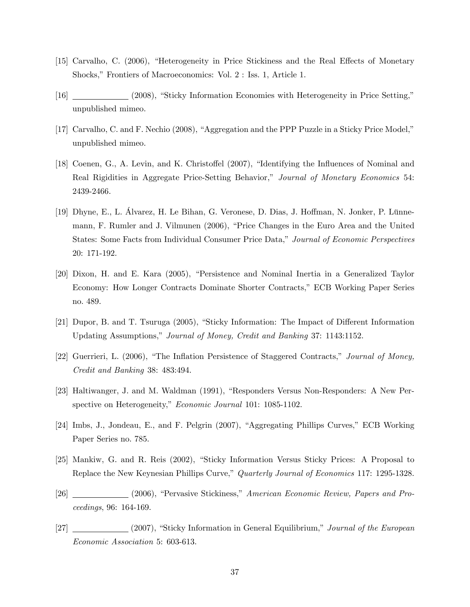- [15] Carvalho, C. (2006), "Heterogeneity in Price Stickiness and the Real Effects of Monetary Shocks," Frontiers of Macroeconomics: Vol. 2 : Iss. 1, Article 1.
- [16] (2008), "Sticky Information Economies with Heterogeneity in Price Setting," unpublished mimeo.
- [17] Carvalho, C. and F. Nechio  $(2008)$ , "Aggregation and the PPP Puzzle in a Sticky Price Model," unpublished mimeo.
- [18] Coenen, G., A. Levin, and K. Christoffel (2007), "Identifying the Influences of Nominal and Real Rigidities in Aggregate Price-Setting Behavior," Journal of Monetary Economics 54: 2439-2466.
- [19] Dhyne, E., L. Alvarez, H. Le Bihan, G. Veronese, D. Dias, J. Hoffman, N. Jonker, P. Lünnemann, F. Rumler and J. Vilmunen (2006), "Price Changes in the Euro Area and the United States: Some Facts from Individual Consumer Price Data," Journal of Economic Perspectives 20: 171-192.
- [20] Dixon, H. and E. Kara (2005), "Persistence and Nominal Inertia in a Generalized Taylor Economy: How Longer Contracts Dominate Shorter Contracts,î ECB Working Paper Series no. 489.
- [21] Dupor, B. and T. Tsuruga (2005), "Sticky Information: The Impact of Different Information Updating Assumptions," Journal of Money, Credit and Banking 37: 1143:1152.
- [22] Guerrieri, L. (2006), "The Inflation Persistence of Staggered Contracts," Journal of Money, Credit and Banking 38: 483:494.
- [23] Haltiwanger, J. and M. Waldman (1991), "Responders Versus Non-Responders: A New Perspective on Heterogeneity," Economic Journal 101: 1085-1102.
- [24] Imbs, J., Jondeau, E., and F. Pelgrin (2007), "Aggregating Phillips Curves," ECB Working Paper Series no. 785.
- [25] Mankiw, G. and R. Reis (2002), "Sticky Information Versus Sticky Prices: A Proposal to Replace the New Keynesian Phillips Curve," Quarterly Journal of Economics 117: 1295-1328.
- [26] (2006), "Pervasive Stickiness," American Economic Review, Papers and Proceedings, 96: 164-169.
- $[27]$  (2007), "Sticky Information in General Equilibrium," Journal of the European Economic Association 5: 603-613.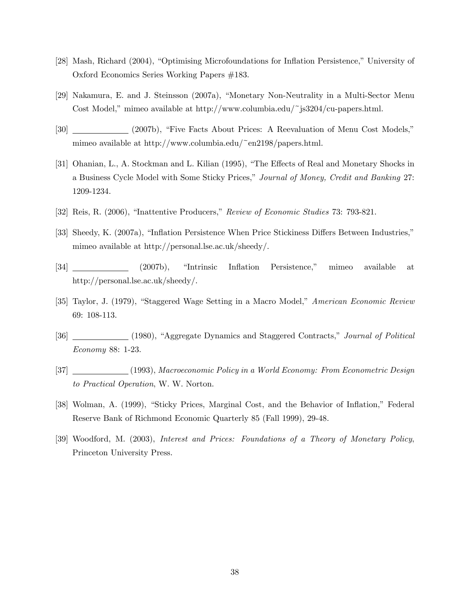- [28] Mash, Richard (2004), "Optimising Microfoundations for Inflation Persistence," University of Oxford Economics Series Working Papers #183.
- [29] Nakamura, E. and J. Steinsson (2007a), "Monetary Non-Neutrality in a Multi-Sector Menu Cost Model," mimeo available at http://www.columbia.edu/~js3204/cu-papers.html.
- [30] (2007b), "Five Facts About Prices: A Reevaluation of Menu Cost Models," mimeo available at http://www.columbia.edu/~en2198/papers.html.
- [31] Ohanian, L., A. Stockman and L. Kilian (1995), "The Effects of Real and Monetary Shocks in a Business Cycle Model with Some Sticky Prices," Journal of Money, Credit and Banking 27: 1209-1234.
- [32] Reis, R. (2006), "Inattentive Producers," Review of Economic Studies 73: 793-821.
- [33] Sheedy, K. (2007a), "Inflation Persistence When Price Stickiness Differs Between Industries," mimeo available at http://personal.lse.ac.uk/sheedy/.
- [34] (2007b), "Intrinsic Inflation Persistence," mimeo available at http://personal.lse.ac.uk/sheedy/.
- [35] Taylor, J. (1979), "Staggered Wage Setting in a Macro Model," American Economic Review 69: 108-113.
- [36] (1980), "Aggregate Dynamics and Staggered Contracts," Journal of Political Economy 88: 1-23.
- [37] (1993), Macroeconomic Policy in a World Economy: From Econometric Design to Practical Operation, W. W. Norton.
- [38] Wolman, A. (1999), "Sticky Prices, Marginal Cost, and the Behavior of Inflation," Federal Reserve Bank of Richmond Economic Quarterly 85 (Fall 1999), 29-48.
- [39] Woodford, M. (2003), Interest and Prices: Foundations of a Theory of Monetary Policy, Princeton University Press.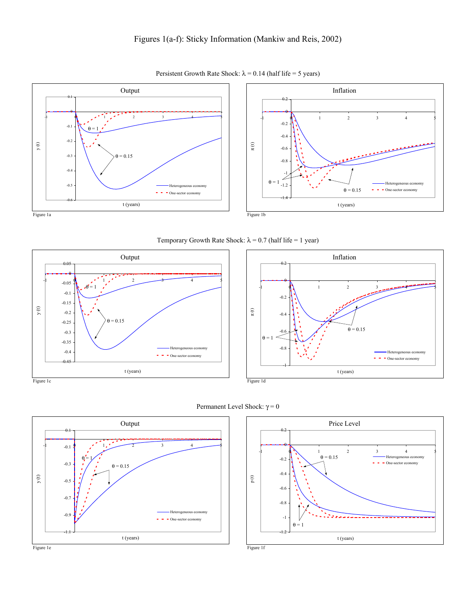

Persistent Growth Rate Shock:  $\lambda = 0.14$  (half life = 5 years)

Temporary Growth Rate Shock:  $\lambda = 0.7$  (half life = 1 year)









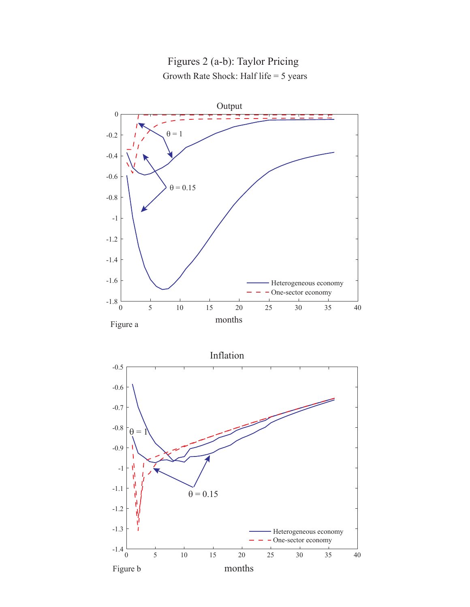

# Figures 2 (a-b): Taylor Pricing Growth Rate Shock: Half life = 5 years